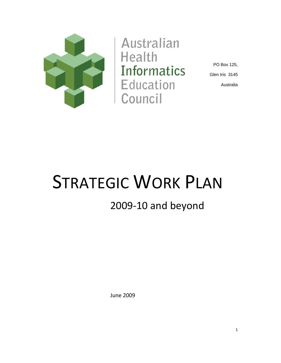

**Australian Health Informatics** Education Council

PO Box 125, Glen Iris 3145 Australia

# STRATEGIC WORK PLAN

# 2009‐10 and beyond

June 2009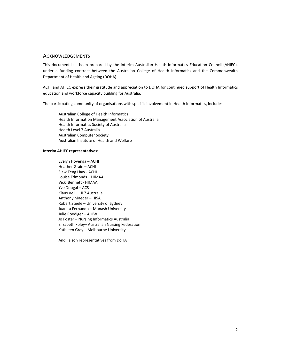## **ACKNOWLEDGEMENTS**

This document has been prepared by the interim Australian Health Informatics Education Council (AHIEC), under a funding contract between the Australian College of Health Informatics and the Commonwealth Department of Health and Ageing (DOHA).

ACHI and AHIEC express their gratitude and appreciation to DOHA for continued support of Health Informatics education and workforce capacity building for Australia.

The participating community of organisations with specific involvement in Health Informatics, includes:

Australian College of Health Informatics Health Information Management Association of Australia Health Informatics Society of Australia Health Level 7 Australia Australian Computer Society Australian Institute of Health and Welfare

#### **Interim AHIEC representatives:**

Evelyn Hovenga – ACHI Heather Grain – ACHI Siaw Teng Liaw ‐ ACHI Louise Edmonds – HIMAA Vicki Bennett ‐ HIMAA Yve Dougal – ACS Klaus Veil – HL7 Australia Anthony Maeder – HISA Robert Steele – University of Sydney Juanita Fernando – Monash University Julie Roediger – AIHW Jo Foster – Nursing Informatics Australia Elizabeth Foley– Australian Nursing Federation Kathleen Gray – Melbourne University

And liaison representatives from DoHA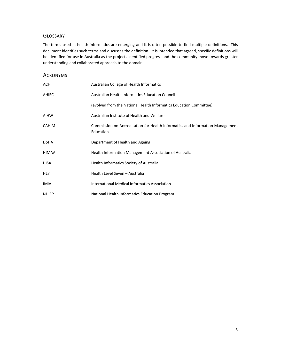# **GLOSSARY**

The terms used in health informatics are emerging and it is often possible to find multiple definitions. This document identifies such terms and discusses the definition. It is intended that agreed, specific definitions will be identified for use in Australia as the projects identified progress and the community move towards greater understanding and collaborated approach to the domain.

# ACRONYMS

| <b>ACHI</b>  | Australian College of Health Informatics                                                   |
|--------------|--------------------------------------------------------------------------------------------|
| AHIEC        | Australian Health Informatics Education Council                                            |
|              | (evolved from the National Health Informatics Education Committee)                         |
| AIHW         | Australian Institute of Health and Welfare                                                 |
| <b>CAHIM</b> | Commission on Accreditation for Health Informatics and Information Management<br>Education |
| <b>DoHA</b>  | Department of Health and Ageing                                                            |
| <b>HIMAA</b> | Health Information Management Association of Australia                                     |
| HISA         | Health Informatics Society of Australia                                                    |
| HL7          | Health Level Seven - Australia                                                             |
| <b>IMIA</b>  | International Medical Informatics Association                                              |
| <b>NHIEP</b> | National Health Informatics Education Program                                              |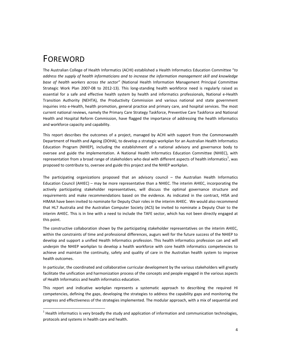# FOREWORD

<u> Andrew Maria (1989)</u>

The Australian College of Health Informatics (ACHI) established a Health Informatics Education Committee "*to address the supply of health informaticians and to increase the information management skill and knowledge base of health workers across the sector"* (National Health Information Management Principal Committee Strategic Work Plan 2007-08 to 2012-13). This long-standing health workforce need is regularly raised as essential for a safe and effective health system by health and informatics professionals, National e‐Health Transition Authority (NEHTA), the Productivity Commission and various national and state government inquiries into e‐Health, health promotion, general practice and primary care, and hospital services. The most current national reviews, namely the Primary Care Strategy Taskforce, Preventive Care Taskforce and National Health and Hospital Reform Commission, have flagged the importance of addressing the health informatics and workforce capacity and capability.

This report describes the outcomes of a project, managed by ACHI with support from the Commonwealth Department of Health and Ageing (DOHA), to develop a strategic workplan for an Australian Health Informatics Education Program (NHIEP), including the establishment of a national advisory and governance body to oversee and guide the implementation. A National Health Informatics Education Committee (NHIEC), with representation from a broad range of stakeholders who deal with different aspects of health informatics<sup>1</sup>, was proposed to contribute to, oversee and guide this project and the NHIEP workplan.

The participating organizations proposed that an advisory council – the Australian Health Informatics Education Council (AHIEC) – may be more representative than a NHIEC. The interim AHIEC, incorporating the actively participating stakeholder representatives, will discuss the optimal governance structure and requirements and make recommendations based on the evidence. As indicated in the contract, HISA and HIMAA have been invited to nominate for Deputy Chair roles in the interim AHIEC. We would also recommend that HL7 Australia and the Australian Computer Society (ACS) be invited to nominate a Deputy Chair to the interim AHIEC. This is in line with a need to include the TAFE sector, which has not been directly engaged at this point.

The constructive collaboration shown by the participating stakeholder representatives on the interim AHIEC, within the constraints of time and professional differences, augurs well for the future success of the NHIEP to develop and support a unified Health Informatics profession. This health informatics profession can and will underpin the NHIEP workplan to develop a health workforce with core health informatics competencies to achieve and maintain the continuity, safety and quality of care in the Australian health system to improve health outcomes.

In particular, the coordinated and collaborative curricular development by the various stakeholders will greatly facilitate the unification and harmonization process of the concepts and people engaged in the various aspects of Health Informatics and health informatics education.

This report and indicative workplan represents a systematic approach to describing the required HI competencies, defining the gaps, developing the strategies to address the capability gaps and monitoring the progress and effectiveness of the strategies implemented. The modular approach, with a mix of sequential and

 $<sup>1</sup>$  Health informatics is very broadly the study and application of information and communication technologies,</sup> protocols and systems in health care and health.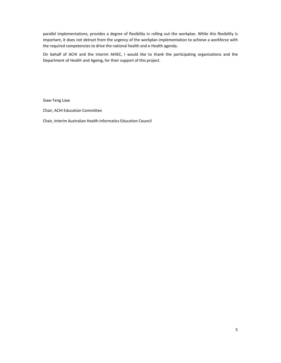parallel implementations, provides a degree of flexibility in rolling out the workplan. While this flexibility is important, it does not detract from the urgency of the workplan implementation to achieve a workforce with the required competencies to drive the national health and e‐Health agenda.

On behalf of ACHI and the Interim AHIEC, I would like to thank the participating organisations and the Department of Health and Ageing, for their support of this project.

Siaw‐Teng Liaw

Chair, ACHI Education Committee

Chair, Interim Australian Health Informatics Education Council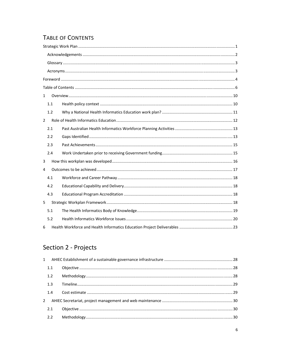# **TABLE OF CONTENTS**

| $\mathbf{1}$   |     |  |
|----------------|-----|--|
|                | 1.1 |  |
|                | 1.2 |  |
| $\overline{2}$ |     |  |
|                | 2.1 |  |
|                | 2.2 |  |
|                | 2.3 |  |
|                | 2.4 |  |
| 3              |     |  |
| 4              |     |  |
|                | 4.1 |  |
|                | 4.2 |  |
|                | 4.3 |  |
| 5              |     |  |
|                | 5.1 |  |
|                | 5.2 |  |
| 6              |     |  |

# Section 2 - Projects

| 1.1 |  |
|-----|--|
| 1.2 |  |
| 1.3 |  |
| 1.4 |  |
|     |  |
| 2.1 |  |
| 2.2 |  |
|     |  |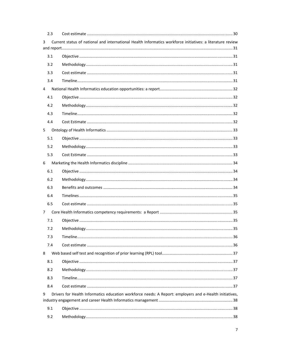| 2.3 |                                                                                                            |  |
|-----|------------------------------------------------------------------------------------------------------------|--|
| 3   | Current status of national and international Health Informatics workforce initiatives: a literature review |  |
|     |                                                                                                            |  |
| 3.1 |                                                                                                            |  |
| 3.2 |                                                                                                            |  |
| 3.3 |                                                                                                            |  |
| 3.4 |                                                                                                            |  |
| 4   |                                                                                                            |  |
| 4.1 |                                                                                                            |  |
| 4.2 |                                                                                                            |  |
| 4.3 |                                                                                                            |  |
| 4.4 |                                                                                                            |  |
| 5   |                                                                                                            |  |
| 5.1 |                                                                                                            |  |
| 5.2 |                                                                                                            |  |
| 5.3 |                                                                                                            |  |
| 6   |                                                                                                            |  |
| 6.1 |                                                                                                            |  |
| 6.2 |                                                                                                            |  |
| 6.3 |                                                                                                            |  |
| 6.4 |                                                                                                            |  |
| 6.5 |                                                                                                            |  |
| 7   |                                                                                                            |  |
| 7.1 |                                                                                                            |  |
| 7.2 |                                                                                                            |  |
| 7.3 |                                                                                                            |  |
| 7.4 |                                                                                                            |  |
| 8   |                                                                                                            |  |
| 8.1 |                                                                                                            |  |
| 8.2 |                                                                                                            |  |
| 8.3 |                                                                                                            |  |
| 8.4 |                                                                                                            |  |
| 9   | Drivers for Health Informatics education workforce needs: A Report: employers and e-Health initiatives,    |  |
|     |                                                                                                            |  |
| 9.1 |                                                                                                            |  |
| 9.2 |                                                                                                            |  |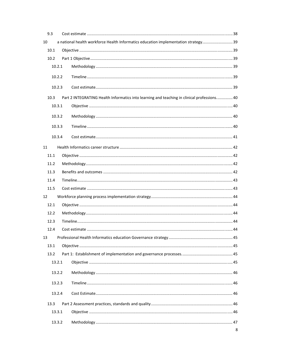| 9.3  |        |                                                                                             |   |
|------|--------|---------------------------------------------------------------------------------------------|---|
| 10   |        | a national health workforce Health Informatics education implementation strategy 39         |   |
| 10.1 |        |                                                                                             |   |
| 10.2 |        |                                                                                             |   |
|      | 10.2.1 |                                                                                             |   |
|      | 10.2.2 |                                                                                             |   |
|      | 10.2.3 |                                                                                             |   |
| 10.3 |        | Part 2 INTEGRATING Health Informatics into learning and teaching in clinical professions 40 |   |
|      | 10.3.1 |                                                                                             |   |
|      | 10.3.2 |                                                                                             |   |
|      | 10.3.3 |                                                                                             |   |
|      | 10.3.4 |                                                                                             |   |
| 11   |        |                                                                                             |   |
| 11.1 |        |                                                                                             |   |
| 11.2 |        |                                                                                             |   |
| 11.3 |        |                                                                                             |   |
| 11.4 |        |                                                                                             |   |
| 11.5 |        |                                                                                             |   |
| 12   |        |                                                                                             |   |
| 12.1 |        |                                                                                             |   |
| 12.2 |        |                                                                                             |   |
| 12.3 |        |                                                                                             |   |
| 12.4 |        |                                                                                             |   |
| 13   |        |                                                                                             |   |
| 13.1 |        |                                                                                             |   |
| 13.2 |        |                                                                                             |   |
|      | 13.2.1 |                                                                                             |   |
|      | 13.2.2 |                                                                                             |   |
|      | 13.2.3 |                                                                                             |   |
|      | 13.2.4 |                                                                                             |   |
| 13.3 |        |                                                                                             |   |
|      | 13.3.1 |                                                                                             |   |
|      | 13.3.2 |                                                                                             |   |
|      |        |                                                                                             | 8 |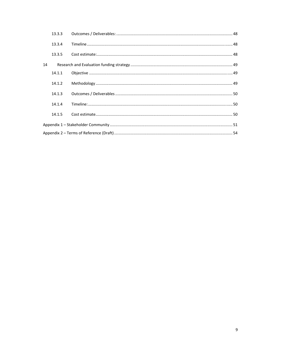|    | 13.3.3 |  |
|----|--------|--|
|    | 13.3.4 |  |
|    | 13.3.5 |  |
| 14 |        |  |
|    | 14.1.1 |  |
|    | 14.1.2 |  |
|    | 14.1.3 |  |
|    | 14.1.4 |  |
|    | 14.1.5 |  |
|    |        |  |
|    |        |  |
|    |        |  |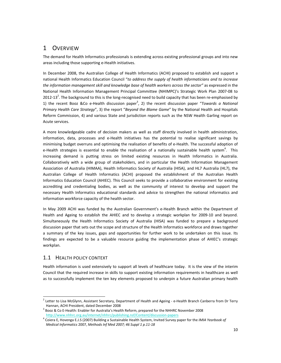# 1 OVERVIEW

The demand for Health Informatics professionals is extending across existing professional groups and into new areas including those supporting e‐Health initiatives.

In December 2008, the Australian College of Health Informatics (ACHI) proposed to establish and support a national Health Informatics Education Council "*to address the supply of health informaticians and to increase the information management skill and knowledge base of health workers across the sector"* as expressed in the National Health Information Management Principal Committee (NHIMPC)'s Strategic Work Plan 2007‐08 to 2012-13<sup>2</sup>. The background to this is the long-recognised need to build capacity that has been re-emphasised by 1) the recent Booz &Co e-Health discussion paper<sup>3</sup>, 2) the recent discussion paper "Towards a National *Primary Health Care Strategy*", 3) the report "*Beyond the Blame Game*" by the National Health and Hospitals Reform Commission, 4) and various State and jurisdiction reports such as the NSW Health Garling report on Acute services.

A more knowledgeable cadre of decision makers as well as staff directly involved in health administration, information, data, processes and e‐Health initiatives has the potential to realise significant savings by minimising budget overruns and optimising the realisation of benefits of e‐Health. The successful adoption of e-Health strategies is essential to enable the realisation of a nationally sustainable health system<sup>4</sup>. This increasing demand is putting stress on limited existing resources in Health Informatics in Australia. Collaboratively with a wide group of stakeholders, and in particular the Health Information Management Association of Australia (HIMAA), Health Informatics Society of Australia (HISA), and HL7 Australia (HL7), the Australian College of Health Informatics (ACHI) proposed the establishment of the Australian Health Informatics Education Council (AHIEC). This Council seeks to provide a collaborative environment for existing accrediting and credentialing bodies, as well as the community of interest to develop and support the necessary Health Informatics educational standards and advice to strengthen the national informatics and information workforce capacity of the health sector.

In May 2009 ACHI was funded by the Australian Government's e-Health Branch within the Department of Health and Ageing to establish the AHIEC and to develop a strategic workplan for 2009‐10 and beyond. Simultaneously the Health Informatics Society of Australia (HISA) was funded to prepare a background discussion paper that sets out the scope and structure of the Health Informatics workforce and draws together a summary of the key issues, gaps and opportunities for further work to be undertaken on this issue. Its findings are expected to be a valuable resource guiding the implementation phase of AHIEC's strategic workplan.

# 1.1 HEALTH POLICY CONTEXT

<u> Andrew Maria (1989)</u>

Health information is used extensively to support all levels of healthcare today. It is the view of the interim Council that the required increase in skills to support existing information requirements in healthcare as well as to successfully implement the ten key elements proposed to underpin a future Australian primary health

 $^2$  Letter to Lisa McGlynn, Assistant Secretary, Department of Health and Ageing - e-Health Branch Canberra from Dr Terry Hannan, ACHI President, dated December 2008<br><sup>3</sup> Booz & Co E-Health: Enabler for Australia's Health Reform, prepared for the NHHRC November 2008

http://www.nhhrc.org.au/internet/nhhrc/publishing.nsf/Content/discussion‐papers <sup>4</sup> Coiera E, Hovenga E.J.S (2007) Building <sup>a</sup> Sustainable Health System, Invited Survey paper for the *IMIA Yearbook of*

*Medical Informatics* 2007, *Methods Inf Med 2007; 46 Suppl 1 p.11‐18*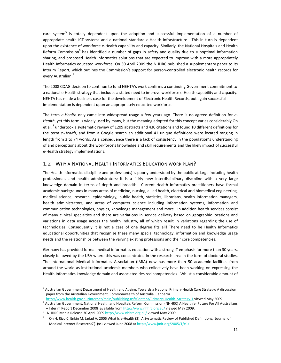care system<sup>5</sup> is totally dependent upon the adoption and successful implementation of a number of appropriate health ICT systems and a national standard e‐Health infrastructure. This in turn is dependent upon the existence of workforce e‐Health capability and capacity. Similarly, the National Hospitals and Health Reform Commission<sup>6</sup> has identified a number of gaps in safety and quality due to suboptimal information sharing, and proposed Health Informatics solutions that are expected to improve with a more appropriately Health Informatics educated workforce. On 30 April 2009 the NHHRC published a supplementary paper to its Interim Report, which outlines the Commission's support for person‐controlled electronic health records for every Australian.<sup>7</sup>

The 2008 COAG decision to continue to fund NEHTA's work confirms a continuing Government commitment to a national e‐Health strategy that includes a stated need to improve workforce e‐Health capability and capacity. NEHTA has made a business case for the development of Electronic Health Records, but again successful implementation is dependent upon an appropriately educated workforce.

The term *e‐Health* only came into widespread usage a few years ago. There is no agreed definition for *e‐ Health*, yet this term is widely used by many, but the meaning adopted for this concept varies considerably Oh et al. <sup>8</sup> undertook a systematic review of 1209 abstracts and 430 citations and found 10 different definitions for the term *e‐Health*, and from a Google search an additional 41 unique definitions were located ranging in length from 3 to 74 words. As a consequence there is a lack of consistency in the population's understanding of and perceptions about the workforce's knowledge and skill requirements and the likely impact of successful e‐Health strategy implementations.

# 1.2 WHY A NATIONAL HEALTH INFORMATICS EDUCATION WORK PLAN?

The Health Informatics discipline and profession(s) is poorly understood by the public at large including health professionals and health administrators; it is a fairly new interdisciplinary discipline with a very large knowledge domain in terms of depth and breadth. Current Health Informatics practitioners have formal academic backgrounds in many areas of medicine, nursing, allied health, electrical and biomedical engineering, medical science, research, epidemiology, public health, statistics, librarians, health information managers, health administrators, and areas of computer science including information systems, information and communication technologies, physics, knowledge management and more. In addition health services consist of many clinical specialties and there are variations in service delivery based on geographic locations and variations in data usage across the health industry, all of which result in variations regarding the use of technologies. Consequently it is not a case of one degree fits all! There need to be Health Informatics educational opportunities that recognize these many special technology, information and knowledge usage needs and the relationships between the varying existing professions and their core competencies.

Germany has provided formal medical informatics education with a strong IT emphasis for more than 30 years, closely followed by the USA where this was concentrated in the research area in the form of doctoral studies. The International Medical Informatics Association (IMIA) now has more than 50 academic facilities from around the world as institutional academic members who collectively have been working on expressing the Health Informatics knowledge domain and associated desired competencies. Whilst a considerable amount of

<u> Andrew Maria (1989)</u>

<sup>&</sup>lt;sup>5</sup> Australian Government Department of Health and Ageing, Towards a National Primary Health Care Strategy: A discussion paper from the Australian Government, Commonwealth of Australia, Canberra

http://www.health.gov.au/internet/main/publishing.nsf/Content/Primary+Health+Strategy-1 viewed May 2009 6 Australian<br><sup>6</sup> Australian Government, National Health and Hospitals Reform Commission (NHHRC) A Healthier Future For – Interim Report December <sup>2008</sup> available from http://www.nhhrc.org.au/ viewed May 2009. <sup>7</sup>

<sup>&</sup>lt;sup>7</sup> NHHRC Media Release 30 April 2009 http://www.nhhrc.org.au/ viewed May 2009

 $^8$  Oh H, Rizo C, Enkin M, Jadad A. 2005 What Is e-Health (3): A Systematic Review of Published Definitions, Journal of Medical Internet Research;7(1):e1 viewed June 2008 at http://www.jmir.org/2005/1/e1/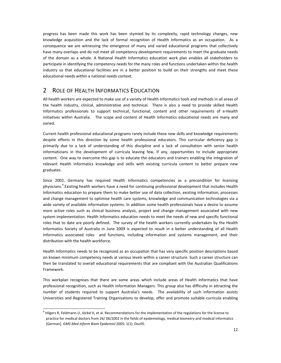progress has been made this work has been stymied by its complexity, rapid technology changes, new knowledge acquisition and the lack of formal recognition of Health Informatics as an occupation. As a consequence we are witnessing the emergence of many and varied educational programs that collectively have many overlaps and do not meet all competency development requirements to meet the graduate needs of the domain as a whole. A National Health Informatics education work plan enables all stakeholders to participate in identifying the competency needs for the many roles and functions undertaken within the health industry so that educational facilities are in a better position to build on their strengths and meet these educational needs within a national needs context.

# 2 ROLE OF HEALTH INFORMATICS EDUCATION

All health workers are expected to make use of a variety of Health Informatics tools and methods in all areas of the health industry, clinical, administrative and technical. There is also a need to provide skilled Health Informatics professionals to support technical, functional, content and other requirements of e-Health initiatives within Australia. The scope and content of Health Informatics educational needs are many and varied.

Current health professional educational programs rarely include these new skills and knowledge requirements despite efforts in this direction by some health professional educators. This curricular deficiency gap is primarily due to a lack of understanding of this discipline and a lack of consultation with senior health informaticians in the development of curricula leaving few, if any, opportunities to include appropriate content. One way to overcome this gap is to educate the educators and trainers enabling the integration of relevant Health Informatics knowledge and skills with existing curricula content to better prepare new graduates.

Since 2002, Germany has required Health Informatics competencies as a precondition for licensing physicians.<sup>9</sup>. Existing health workers have a need for continuing professional development that includes Health Informatics education to prepare them to make better use of data collection, existing information, processes and change management to optimise health care systems, knowledge and communication technologies via a wide variety of available information systems. In addition some health professionals have a desire to assume more active roles such as clinical business analysis, project and change management associated with new system implementation. Health Informatics education needs to meet the needs of new and specific functional roles that to date are poorly defined. The survey of the health workers currently undertaken by the Health Informatics Society of Australia in June 2009 is expected to result in a better understanding of all Health Informatics associated roles and functions, including information and systems management, and their distribution with the health workforce.

Health Informatics needs to be recognized as an occupation that has very specific position descriptions based on known minimum competency needs at various levels within a career structure. Such a career structure can then be translated to overall educational requirements that are compliant with the Australian Qualifications Framework.

This workplan recognises that there are some areas which include areas of Health Informatics that have professional recognition, such as Health Information Managers. This group also has difficulty in attracting the number of students required to support Australia's needs. The availability of such information assists Universities and Registered Training Organisations to develop, offer and promote suitable curricula enabling

<sup>&</sup>lt;u> Andrew Maria (1989)</u>  $9$  Hilgers R, Feldmann U, Jöckel K, et al. Recommendations for the implementation of the regulations for the license to practice for medical doctors from 26/ 06/2002 in the fields of epidemiology, medical biometry and medical informatics [German]. *GMS Med Inform Biom Epidemiol* 2005; 1(1): Doc05.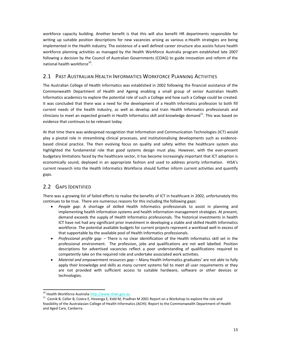workforce capacity building. Another benefit is that this will also benefit HR departments responsible for writing up suitable position descriptions for new vacancies arising as various e-Health strategies are being implemented in the Health industry. The existence of a well defined career structure also assists future health workforce planning activities as managed by the Health Workforce Australia program established late 2007 following a decision by the Council of Australian Governments (COAG) to guide innovation and reform of the national health workforce $^{10}$ .

# 2.1 PAST AUSTRALIAN HEALTH INFORMATICS WORKFORCE PLANNING ACTIVITIES

The Australian College of Health Informatics was established in 2002 following the financial assistance of the Commonwealth Department of Health and Ageing enabling a small group of senior Australian Health Informatics academics to explore the potential role of such a College and how such a College could be created. It was concluded that there was a need for the development of a Health Informatics profession to both fill current needs of the health industry, as well as develop and train Health Informatics professionals and clinicians to meet an expected growth in Health Informatics skill and knowledge demand $^{11}$ . This was based on evidence that continues to be relevant today.

At that time there was widespread recognition that Information and Communication Technologies (ICT) would play a pivotal role in streamlining clinical processes, and institutionalising developments such as evidence‐ based clinical practice. The then evolving focus on quality and safety within the healthcare system also highlighted the fundamental role that good systems design must play. However, with the ever-present budgetary limitations faced by the healthcare sector, it has become increasingly important that ICT adoption is economically sound, deployed in an appropriate fashion and used to address priority information. HISA's current research into the Health Informatics Workforce should further inform current activities and quantify gaps.

# 2.2 GAPS IDENTIFIED

There was a growing list of failed efforts to realise the benefits of ICT in healthcare in 2002, unfortunately this continues to be true. There are numerous reasons for this including the following gaps:

- *People gap*: A shortage of skilled Health Informatics professionals to assist in planning and implementing health information systems and health information management strategies. At present, demand exceeds the supply of Health Informatics professionals. The historical investments in health ICT have not had any significant prior investment in developing a stable and skilled Health Informatics workforce. The potential available budgets for current projects represent a workload well in excess of that supportable by the available pool of Health Informatics professionals.
- *Professional profile gap: –* There is no clear identification of the Health Informatics skill set in the professional environment. The profession, jobs and qualifications are not well labelled. Position descriptions for advertised vacancies reflect a poor understanding of qualifications required to competently take on the required role and undertake associated work activities.
- *Material and empowerment resources gap:* Many Health Informatics graduates' are not able to fully apply their knowledge and skills as many current systems fail to meet all user requirements or they are not provided with sufficient access to suitable hardware, software or other devices or technologies.

<sup>&</sup>lt;sup>10</sup> Health Workforce Australia http://www.nhwt.gov.au

 $11$  Cesnik B, Celler B, Coiera E, Hovenga E, Kidd M, Pradhan M 2001 Report on a Workshop to explore the role and feasibility of the Australasian College of Health Informatics (ACHI). Report to the Commonwealth Department of Health and Aged Care, Canberra.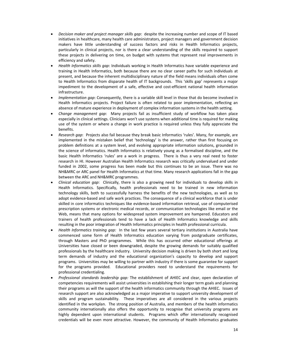- *Decision maker and project manager skills gap*: despite the increasing number and scope of IT based initiatives in healthcare, many health care administrators, project managers and government decision makers have little understanding of success factors and risks in Health Informatics projects, particularly in clinical projects, nor is there a clear understanding of the skills required to support these projects in delivering on time, on budget with systems that represent real improvements in efficiency and safety.
- *Health Informatics skills gap*: Individuals working in Health Informatics have variable experience and training in Health Informatics, both because there are no clear career paths for such individuals at present, and because the inherent multidisciplinary nature of the field means individuals often come to Health Informatics from disparate health of IT backgrounds. This 'skills gap' represents a major impediment to the development of a safe, effective and cost-efficient national health information infrastructure.
- *Implementation gap*: Consequently, there is a variable skill level in those that do become involved in Health Informatics projects. Project failure is often related to poor implementation, reflecting an absence of mature experience in deployment of complex information systems in the health setting.
- *Change management gap*: Many projects fail as insufficient study of workflow has taken place especially in clinical settings. Clinicians won't use systems when additional time is required for making use of the system or where a change in work practice is required unless they fully appreciate the benefits.
- *Research gap*: Projects also fail because they break basic Informatics 'rules'. Many, for example, are implemented in the mistaken belief that 'technology' is the answer, rather than first focusing on problem definitions at a system level, and evolving appropriate information solutions, grounded in the science of informatics. Health Informatics is relatively young as a formalised discipline, and the basic Health Informatics 'rules' are a work in progress. There is thus a very real need to foster research in HI. However Australian Health Informatics research was critically undervalued and under funded in 2002, some progress has been made but this continues to be an issue. There was no NH&MRC or ARC panel for Health Informatics at that time. Many research applications fall in the gap between the ARC and NH&MRC programmes.
- *Clinical education gap*: Clinically, there is also a growing need for individuals to develop skills in Health Informatics. Specifically, health professionals need to be trained in new information technology skills, both to successfully harness the benefits of the new technologies, as well as to adopt evidence‐based and safe work practices. The consequence of a clinical workforce that is under skilled in core informatics techniques like evidence‐based information retrieval, use of computerised prescription systems or electronic medical records, or communication technologies like email or the Web, means that many options for widespread system improvement are hampered. Educators and trainers of health professionals tend to have a lack of Health Informatics knowledge and skills resulting in the poor integration of Health Informatics principles in health professional curricula.
- *Health Informatics training gap:* In the last few years several tertiary institutions in Australia have commenced some form of Health Informatics education varying from postgraduate certificates, through Masters and PhD programmes. While this has occurred other educational offerings at Universities have closed or been downgraded, despite the growing demands for suitably qualified professionals by the healthcare industry. University decision making is driven by both short and long term demands of industry and the educational organization's capacity to develop and support programs. Universities may be willing to partner with industry if there is some guarantee for support for the programs provided. Educational providers need to understand the requirements for professional credentialing.
- *Professional standards leadership gap:* The establishment of AHIEC and clear, open declaration of competencies requirements will assist universities in establishing their longer term goals and planning their programs as will the support of the health informatics community through the AHIEC. Issues of research support are also acknowledged as a major imperative to support university development of skills and program sustainability. These imperatives are all considered in the various projects identified in the workplan. The strong position of Australia, and members of the health informatics community internationally also offers the opportunity to recognise that university programs are highly dependent upon international students. Programs which offer internationally recognised credentials will be even more attractive. However, the community of Health Informatics graduates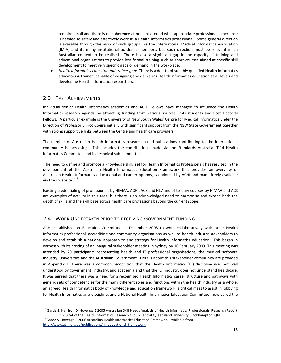remains small and there is no coherence at present around what appropriate professional experience is needed to safely and effectively work as a Health Informatics professional. Some general direction is available through the work of such groups like the International Medical Informatics Association (IMIA) and its many institutional academic members, but such direction must be relevant in an Australian context to be realised. There is also a significant gap in the capacity of training and educational organisations to provide less formal training such as short courses aimed at specific skill development to meet very specific gaps or demand in the workplace.

• *Health Informatics educator and trainer gap:* There is a dearth of suitably qualified Health Informatics educators & trainers capable of designing and delivering Health Informatics education at all levels and developing Health Informatics researchers.

# 2.3 PAST ACHIEVEMENTS

<u> Andrew Maria (1989)</u>

Individual senior Health Informatics academics and ACHI Fellows have managed to influence the Health Informatics research agenda by attracting funding from various sources, PhD students and Post Doctoral Fellows. A particular example is the University of New South Wales' Centre for Medical Informatics under the Direction of Professor Enrico Coeira initially with significant support from the NSW State Government together with strong supportive links between the Centre and health care providers.

The number of Australian Health Informatics research based publications contributing to the international community is increasing. This includes the contributions made via the Standards Australia IT-14 Health Informatics Committee and its technical sub‐committees.

The need to define and promote a knowledge skills set for Health Informatics Professionals has resulted in the development of the Australian Health Informatics Education Framework that provides an overview of Australian Health Informatics educational and career options, is endorsed by ACHI and made freely available via their website $^{12,13}$ .

Existing credentialing of professionals by HIMAA, ACHI, ACS and HL7 and of tertiary courses by HIMAA and ACS are examples of activity in this area, but there is an acknowledged need to harmonise and extend both the depth of skills and the skill base across health care professions beyond the current scope.

# 2.4 WORK UNDERTAKEN PRIOR TO RECEIVING GOVERNMENT FUNDING

ACHI established an Education Committee in December 2008 to work collaboratively with other Health Informatics professional, accrediting and community organisations as well as health industry stakeholders to develop and establish a national approach to and strategy for Health Informatics education. This began in earnest with its hosting of an inaugural stakeholder meeting in Sydney on 10 February 2009. This meeting was attended by 20 participants representing health and IT professional organisations, the medical software industry, universities and the Australian Government. Details about this stakeholder community are provided in Appendix 1. There was a common recognition that the Health Informatics (HI) discipline was not well understood by government, industry, and academia and that the ICT industry does not understand healthcare. It was agreed that there was a need for a recognised Health Informatics career structure and pathways with generic sets of competencies for the many different roles and functions within the health industry as a whole, an agreed Health Informatics body of knowledge and education framework, a critical mass to assist in lobbying for Health Informatics as a discipline, and a National Health Informatics Education Committee (now called the

<sup>12</sup> Garde S, Harrison D, Hovenga E 2005 Australian Skill Needs Analysis of Health Informatics Professionals**,** Research Report 1,2,3 &4 of the Health Informatics Research Group Central Queensland University, Rockhampton, Qld.<br><sup>13</sup> Garde S, Hovenga E 2006 Australian Health Informatics Education Framework, available from

http://www.achi.org.au/publications/hi\_educational\_framework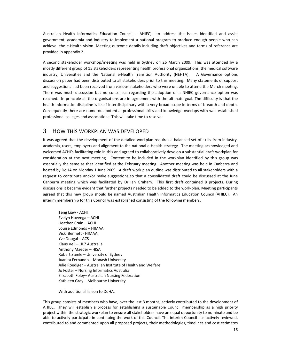Australian Health Informatics Education Council – AHIEC) to address the issues identified and assist government, academia and industry to implement a national program to produce enough people who can achieve the e-Health vision. Meeting outcome details including draft objectives and terms of reference are provided in appendix 2.

A second stakeholder workshop/meeting was held in Sydney on 26 March 2009. This was attended by a mostly different group of 15 stakeholders representing health professional organizations, the medical software industry, Universities and the National e-Health Transition Authority (NEHTA). A Governance options discussion paper had been distributed to all stakeholders prior to this meeting. Many statements of support and suggestions had been received from various stakeholders who were unable to attend the March meeting. There was much discussion but no consensus regarding the adoption of a NHIEC governance option was reached. In principle all the organisations are in agreement with the ultimate goal. The difficulty is that the health Informatics discipline is itself interdisciplinary with a very broad scope in terms of breadth and depth. Consequently there are numerous potential professional skills and knowledge overlaps with well established professional colleges and associations. This will take time to resolve.

# 3 HOW THIS WORKPLAN WAS DEVELOPED

It was agreed that the development of the detailed workplan requires a balanced set of skills from industry, academia, users, employers and alignment to the national e‐Health strategy. The meeting acknowledged and welcomed ACHI's facilitating role in this and agreed to collaboratively develop a substantial draft workplan for consideration at the next meeting. Content to be included in the workplan identified by this group was essentially the same as that identified at the February meeting. Another meeting was held in Canberra and hosted by DoHA on Monday 1 June 2009. A draft work plan outline was distributed to all stakeholders with a request to contribute and/or make suggestions so that a consolidated draft could be discussed at the June Canberra meeting which was facilitated by Dr Ian Graham. This first draft contained 8 projects. During discussions it became evident that further projects needed to be added to the work‐plan. Meeting participants agreed that this new group should be named Australian Health Informatics Education Council (AHIEC). An interim membership for this Council was established consisting of the following members:

Teng Liaw ‐ ACHI Evelyn Hovenga – ACHI Heather Grain – ACHI Louise Edmonds – HIMAA Vicki Bennett ‐ HIMAA Yve Dougal – ACS Klaus Veil – HL7 Australia Anthony Maeder – HISA Robert Steele – University of Sydney Juanita Fernando – Monash University Julie Roediger – Australian Institute of Health and Welfare Jo Foster – Nursing Informatics Australia Elizabeth Foley– Australian Nursing Federation Kathleen Gray – Melbourne University

With additional liaison to DoHA.

This group consists of members who have, over the last 3 months, actively contributed to the development of AHIEC. They will establish a process for establishing a sustainable Council membership as a high priority project within the strategic workplan to ensure all stakeholders have an equal opportunity to nominate and be able to actively participate in continuing the work of this Council. The interim Council has actively reviewed, contributed to and commented upon all proposed projects, their methodologies, timelines and cost estimates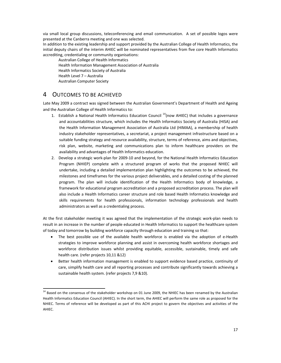via small local group discussions, teleconferencing and email communication. A set of possible logos were presented at the Canberra meeting and one was selected.

In addition to the existing leadership and support provided by the Australian College of Health Informatics, the initial deputy chairs of the interim AHIEC will be nominated representatives from five core Health Informatics accrediting, credentialing or community organisations:

Australian College of Health Informatics Health Information Management Association of Australia Health Informatics Society of Australia Health Level 7 – Australia Australian Computer Society

# 4 OUTCOMES TO BE ACHIEVED

<u> Andrew Maria (1989)</u>

Late May 2009 a contract was signed between the Australian Government's Department of Health and Ageing and the Australian College of Health Informatics to:

- 1. Establish a National Health Informatics Education Council  $14$ (now AHIEC) that includes a governance and accountabilities structure, which includes the Health Informatics Society of Australia (HISA) and the Health Information Management Association of Australia Ltd (HIMAA), a membership of health industry stakeholder representatives, a secretariat, a project management infrastructure based on a suitable funding strategy and resource availability, structure, terms of reference, aims and objectives, risk plan, website, marketing and communications plan to inform healthcare providers on the availability and advantages of Health Informatics education.
- 2. Develop a strategic work‐plan for 2009‐10 and beyond, for the National Health Informatics Education Program (NHIEP) complete with a structured program of works that the proposed NHIEC will undertake, including a detailed implementation plan highlighting the outcomes to be achieved, the milestones and timeframes for the various project deliverables, and a detailed costing of the planned program. The plan will include identification of the Health Informatics body of knowledge, a framework for educational program accreditation and a proposed accreditation process. The plan will also include a Health Informatics career structure and role based Health Informatics knowledge and skills requirements for health professionals, information technology professionals and health administrators as well as a credentialing process.

At the first stakeholder meeting it was agreed that the implementation of the strategic work‐plan needs to result in an increase in the number of people educated in Health Informatics to support the healthcare system of today and tomorrow by building workforce capacity through education and training so that:

- The best possible use of the available health workforce is enabled via the adoption of e-Health strategies to improve workforce planning and assist in overcoming health workforce shortages and workforce distribution issues whilst providing equitable, accessible, sustainable, timely and safe health care. (refer projects 10,11 &12)
- Better health information management is enabled to support evidence based practice, continuity of care, simplify health care and all reporting processes and contribute significantly towards achieving a sustainable health system. (refer projects 7,9 &10).

 $14$  Based on the consensus of the stakeholder workshop on 01 June 2009, the NHIEC has been renamed by the Australian Health Informatics Education Council (AHIEC). In the short term, the AHIEC will perform the same role as proposed for the NHIEC. Terms of reference will be developed as part of this ACHI project to govern the objectives and activities of the AHIEC.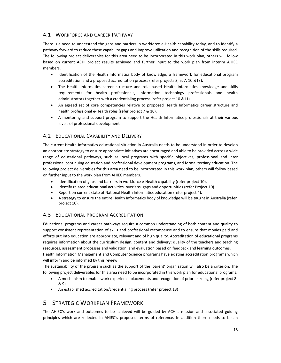# 4.1 WORKFORCE AND CAREER PATHWAY

There is a need to understand the gaps and barriers in workforce e-Health capability today, and to identify a pathway forward to reduce these capability gaps and improve utilization and recognition of the skills required. The following project deliverables for this area need to be incorporated in this work plan, others will follow based on current ACHI project results achieved and further input to the work plan from interim AHIEC members.

- Identification of the Health Informatics body of knowledge, a framework for educational program accreditation and a proposed accreditation process (refer projects 3, 5, 7, 10 &13).
- The Health Informatics career structure and role based Health Informatics knowledge and skills requirements for health professionals, information technology professionals and health administrators together with a credentialing process (refer project 10 &11).
- An agreed set of core competencies relative to proposed Health Informatics career structure and health professional e‐Health roles (refer project 7 & 10).
- A mentoring and support program to support the Health Informatics professionals at their various levels of professional development

# 4.2 EDUCATIONAL CAPABILITY AND DELIVERY

The current Health Informatics educational situation in Australia needs to be understood in order to develop an appropriate strategy to ensure appropriate initiatives are encouraged and able to be provided across a wide range of educational pathways, such as local programs with specific objectives, professional and inter professional continuing education and professional development programs, and formal tertiary education. The following project deliverables for this area need to be incorporated in this work plan, others will follow based on further input to the work plan from AHIEC members.

- Identification of gaps and barriers in workforce e‐Health capability (refer project 10).
- Identify related educational activities, overlaps, gaps and opportunities (refer Project 10)
- Report on current state of National Health Informatics education (refer project 4).
- A strategy to ensure the entire Health Informatics body of knowledge will be taught in Australia (refer project 10).

# 4.3 EDUCATIONAL PROGRAM ACCREDITATION

Educational programs and career pathways require a common understanding of both content and quality to support consistent representation of skills and professional recompense and to ensure that monies paid and efforts put into education are appropriate, relevant and of high quality. Accreditation of educational programs requires information about the curriculum design, content and delivery; quality of the teachers and teaching resources, assessment processes and validation; and evaluation based on feedback and learning outcomes. Health Information Management and Computer Science programs have existing accreditation programs which will inform and be informed by this review.

The sustainability of the program such as the support of the 'parent' organization will also be a criterion. The following project deliverables for this area need to be incorporated in this work plan for educational programs:

- A mechanism to enable work experience placements and recognition of prior learning (refer project 8 & 9)
- An established accreditation/credentialing process (refer project 13)

# 5 STRATEGIC WORKPLAN FRAMEWORK

The AHIEC's work and outcomes to be achieved will be guided by ACHI's mission and associated guiding principles which are reflected in AHIEC's proposed terms of reference. In addition there needs to be an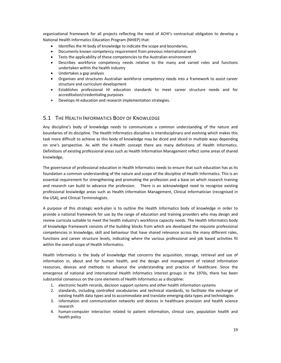organizational framework for all projects reflecting the need of ACHI's contractual obligation to develop a National Health Informatics Education Program (NHIEP) that:

- Identifies the HI body of knowledge to indicate the scope and boundaries,
- Documents known competency requirement from previous international work
- Tests the applicability of these competencies to the Australian environment
- Describes workforce competency needs relative to the many and varied roles and functions undertaken within the health industry
- Undertakes a gap analysis
- Organises and structures Australian workforce competency needs into a framework to assist career structure and curriculum development
- Establishes professional HI education standards to meet career structure needs and for accreditation/credentialing purposes
- Develops HI education and research implementation strategies.

# 5.1 THE HEALTH INFORMATICS BODY OF KNOWLEDGE

Any discipline's body of knowledge needs to communicate a common understanding of the nature and boundaries of its discipline. The Health Informatics discipline is interdisciplinary and evolving which makes this task more difficult to achieve as this body of knowledge may be diced and sliced in multiple ways depending on one's perspective. As with the e‐Health concept there are many definitions of Health Informatics. Definitions of existing professional areas such as Health Information Management reflect some areas of shared knowledge,

The governance of professional education in Health Informatics needs to ensure that such education has as its foundation a common understanding of the nature and scope of the discipline of Health Informatics. This is an essential requirement for strengthening and promoting the profession and a base on which research training and research can build to advance the profession. There is an acknowledged need to recognise existing professional knowledge areas such as Health Information Management, Clinical Informatician (recognised in the USA), and Clinical Terminologists.

A purpose of this strategic work‐plan is to outline the Health Informatics body of knowledge in order to provide a national framework for use by the range of education and training providers who may design and review curricula suitable to meet the health industry's workforce capacity needs. The Health Informatics body of knowledge framework consists of the building blocks from which are developed the requisite professional competencies in knowledge, skill and behaviour that have shared relevance across the many different roles, functions and career structure levels, indicating where the various professional and job based activities fit within the overall scope of Health Informatics.

Health Informatics is the body of knowledge that concerns the acquisition, storage, retrieval and use of information in, about and for human health, and the design and management of related information resources, devices and methods to advance the understanding and practice of healthcare. Since the emergence of national and international Health Informatics interest groups in the 1970s, there has been substantial consensus on the core elements of Health Informatics as a discipline:

- 1. electronic health records, decision support systems and other health information systems
- 2. standards, including controlled vocabularies and technical standards, to facilitate the exchange of existing health data types and to accommodate and translate emerging data types and technologies
- 3. information and communication networks and devices in healthcare provision and health science research
- 4. human‐computer interaction related to patient information, clinical care, population health and health policy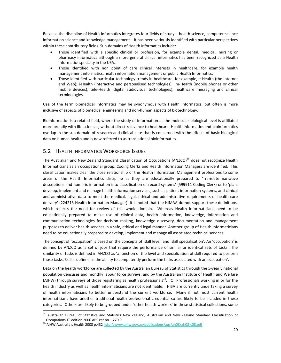Because the discipline of Health Informatics integrates four fields of study – health science, computer science information science and knowledge management – it has been variously identified with particular perspectives within these contributory fields. Sub‐domains of Health Informatics include:

- Those identified with a specific clinical or profession, for example dental, medical, nursing or pharmacy informatics although a more general clinical informatics has been recognized as a Health Informatics specialty in the USA.
- Those identified with non point of care clinical interests in healthcare, for example health management informatics, health information management or public Health Informatics.
- Those identified with particular technology trends in healthcare, for example, e-Health (the Internet and Web); i-Health (interactive and personalised technologies); m-Health (mobile phones or other mobile devices); tele‐Health (digital audiovisual technologies), healthcare messaging and clinical terminologies.

Use of the term biomedical informatics may be synonymous with Health Informatics, but often is more inclusive of aspects of biomedical engineering and non‐human aspects of biotechnology.

Bioinformatics is a related field, where the study of information at the molecular biological level is affiliated more broadly with life sciences, without direct relevance to healthcare. Health informatics and bioinformatics overlap in the sub‐domain of research and clinical care that is concerned with the effects of basic biological data on human health and is now referred to as translational bioinformatics.

# 5.2 HEALTH INFORMATICS WORKFORCE ISSUES

The Australian and New Zealand Standard Classification of Occupations (ANZCO)<sup>15</sup> does not recognize Health Informaticians as an occupational group. Coding Clerks and Health Information Managers are identified. This classification makes clear the close relationship of the Health Information Management professions to some areas of the Health Informatics discipline as they are educationally prepared to 'Translate narrative descriptions and numeric information into classification or record systems' (599911 Coding Clerk) or to 'plan, develop, implement and manage health information services, such as patient information systems, and clinical and administrative data to meet the medical, legal, ethical and administrative requirements of health care delivery' (224213 Health Information Manager). It is noted that the HIMAA do not support these definitions, which reflects the need for review of this whole domain. Whereas Health Informaticians need to be educationally prepared to make use of clinical data, health information, knowledge, information and communication technologies for decision making, knowledge discovery, documentation and management purposes to deliver health services in a safe, ethical and legal manner. Another group of Health Informaticians need to be educationally prepared to develop, implement and manage all associated technical services.

The concept of 'occupation' is based on the concepts of 'skill level' and 'skill specialisation'. An 'occupation' is defined by ANZCO as 'a set of jobs that require the performance of similar or identical sets of tasks'. The similarity of tasks is defined in ANZCO as 'a function of the level and specialization of skill required to perform those tasks. Skill is defined as the ability to competently perform the tasks associated with an occupation'.

Data on the health workforce are collected by the Australian Bureau of Statistics through the 5‐yearly national population Censuses and monthly labour force surveys, and by the Australian Institute of Health and Welfare (AIHW) through surveys of those registering as health professionals<sup>16</sup>. ICT Professionals working in or for the health industry as well as health informaticians are not identifiable. HISA are currently undertaking a survey of health informaticians to better understand the current workforce. Many if not most current health informaticians have another traditional health professional credential so are likely to be included in these categories. Others are likely to be grouped under 'other health workers' in these statistical collections, some

<u> Andrew Maria (1989)</u>

<sup>&</sup>lt;sup>15</sup> Australian Bureau of Statistics and Statistics New Zealand, Australian and New Zealand Standard Classification of Occupations 1<sup>st</sup> edition 2006 ABS cat.no. 1220.0<br><sup>16</sup> AIHW Australia's Health 2008 p.432 http://www.aihw.gov.au/publications/aus/ah08/ah08-c08.pdf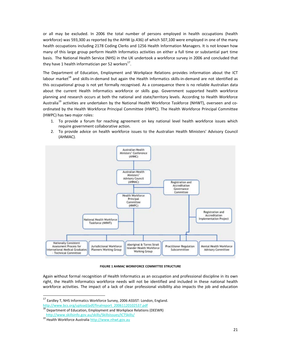or all may be excluded. In 2006 the total number of persons employed in health occupations (health workforce) was 593,300 as reported by the AIHW (p.436) of which 507,100 were employed in one of the many health occupations including 2178 Coding Clerks and 1256 Health Information Managers. It is not known how many of this large group perform Health Informatics activities on either a full time or substantial part time basis. The National Health Service (NHS) in the UK undertook a workforce survey in 2006 and concluded that they have 1 health informatician per 52 workers $^{17}$ .

The Department of Education, Employment and Workplace Relations provides information about the ICT labour market<sup>18</sup> and skills-in-demand but again the Health Informatics skills-in-demand are not identified as this occupational group is not yet formally recognised. As a consequence there is no reliable Australian data about the current Health Informatics workforce or skills gap. Government supported health workforce planning and research occurs at both the national and state/territory levels. According to Health Workforce Australia<sup>19</sup> activities are undertaken by the National Health Workforce Taskforce (NHWT), overseen and coordinated by the Health Workforce Principal Committee (HWPC). The Health Workforce Principal Committee (HWPC) has two major roles:

- 1. To provide a forum for reaching agreement on key national level health workforce issues which require government collaborative action.
- 2. To provide advice on health workforce issues to the Australian Health Ministers' Advisory Council (AHMAC).



**FIGURE 1 AHMAC WORKFORCE COMMITTEE STRUCTURE**

Again without formal recognition of Health Informatics as an occupation and professional discipline in its own right, the Health Informatics workforce needs will not be identified and included in these national health workforce activities. The impact of a lack of clear professional visibility also impacts the job and education

<u> Andreas Andreas Andreas Andreas Andreas Andreas Andreas Andreas Andreas Andreas Andreas Andreas Andreas Andreas</u>

 $^{17}$  Eardley T, NHS Informatics Workforce Survey, 2006 ASSIST: London, England. http://www.bcs.org/upload/pdf/finalreport\_20061120102537.pdf<br>
<sup>18</sup> Department of Education, Employment and Workplace Relations (DEEWR)<br>
http://www.skillsinfo.gov.au/skills/SkillsIssues/ICTSkills/

<sup>19</sup> Health Workforce Australia http://www.nhwt.gov.au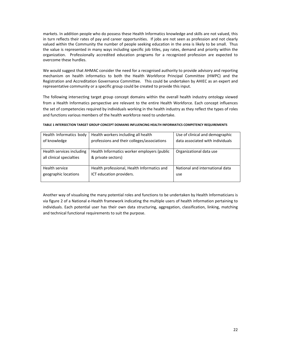markets. In addition people who do possess these Health Informatics knowledge and skills are not valued, this in turn reflects their rates of pay and career opportunities. If jobs are not seen as profession and not clearly valued within the Community the number of people seeking education in the area is likely to be small. Thus the value is represented in many ways including specific job titles, pay rates, demand and priority within the organization. Professionally accredited education programs for a recognized profession are expected to overcome these hurdles.

We would suggest that AHMAC consider the need for a recognised authority to provide advisory and reporting mechanism on health informatics to both the Health Workforce Principal Committee (HWPC) and the Registration and Accreditation Governance Committee. This could be undertaken by AHIEC as an expert and representative community or a specific group could be created to provide this input.

The following intersecting target group concept domains within the overall health industry ontology viewed from a Health Informatics perspective are relevant to the entire Health Workforce. Each concept influences the set of competencies required by individuals working in the health industry as they reflect the types of roles and functions various members of the health workforce need to undertake.

| Health Informatics body   | Health workers including all health         | Use of clinical and demographic  |
|---------------------------|---------------------------------------------|----------------------------------|
| of knowledge              | professions and their colleges/associations | data associated with individuals |
|                           |                                             |                                  |
| Health services including | Health Informatics worker employers (public | Organizational data use          |
| all clinical specialties  | & private sectors)                          |                                  |
|                           |                                             |                                  |
| Health service            | Health professional, Health Informatics and | National and international data  |
| geographic locations      | ICT education providers.                    | use                              |
|                           |                                             |                                  |

#### **TABLE 1 INTERSECTION TARGET GROUP CONCEPT DOMAINS INFLUENCING HEALTH INFORMATICS COMPETENCY REQUIREMENTS**

Another way of visualising the many potential roles and functions to be undertaken by Health Informaticians is via figure 2 of a National e-Health framework indicating the multiple users of health information pertaining to individuals. Each potential user has their own data structuring, aggregation, classification, linking, matching and technical functional requirements to suit the purpose.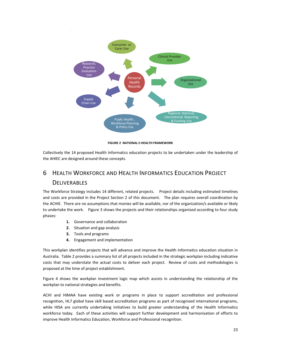

**FIGURE 2 NATIONAL E‐HEALTH FRAMEWORK**

Collectively the 14 proposed Health Informatics education projects to be undertaken under the leadership of the AHIEC are designed around these concepts.

# 6 HEALTH WORKFORCE AND HEALTH INFORMATICS EDUCATION PROJECT **DELIVERABLES**

The Workforce Strategy includes 14 different, related projects. Project details including estimated timelines and costs are provided in the Project Section 2 of this document. The plan requires overall coordination by the ACHIE. There are no assumptions that monies will be available, nor of the organization/s available or likely to undertake the work. Figure 3 shows the projects and their relationships organised according to four study phases:

- **1.** Governance and collaboration
- **2.** Situation and gap analysis
- **3.** Tools and programs
- **4.** Engagement and implementation

This workplan identifies projects that will advance and improve the Health Informatics education situation in Australia. Table 2 provides a summary list of all projects included in the strategic workplan including indicative costs that may understate the actual costs to deliver each project. Review of costs and methodologies is proposed at the time of project establishment.

Figure 4 shows the workplan investment logic map which assists in understanding the relationship of the workplan to national strategies and benefits.

ACHI and HIMAA have existing work or programs in place to support accreditation and professional recognition, HL7 global have skill based accreditation programs as part of recognised international programs, while HISA are currently undertaking initiatives to build greater understanding of the Health Informatics workforce today. Each of these activities will support further development and harmonisation of efforts to improve Health Informatics Education, Workforce and Professional recognition.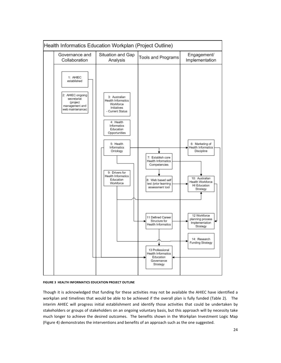

#### **FIGURE 3 HEALTH INFORMATICS EDUCATION PROJECT OUTLINE**

Though it is acknowledged that funding for these activities may not be available the AHIEC have identified a workplan and timelines that would be able to be achieved if the overall plan is fully funded (Table 2). The interim AHIEC will progress initial establishment and identify those activities that could be undertaken by stakeholders or groups of stakeholders on an ongoing voluntary basis, but this approach will by necessity take much longer to achieve the desired outcomes. The benefits shown in the Workplan Investment Logic Map (Figure 4) demonstrates the interventions and benefits of an approach such as the one suggested.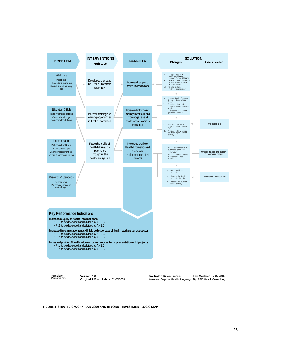

**Template** 

**Version** 1.0 **Original ILM Workshop** 01/06/2009

**Version** 3.5 **Last Modified** 12/07/2009 **By** SED Health Consulting **Investor** Dept. of Health & Ageing **Facilitator** Dr Ian Graham

**FIGURE 4 STRATEGIC WORKPLAN 2009 AND BEYOND ‐ INVESTMENT LOGIC MAP**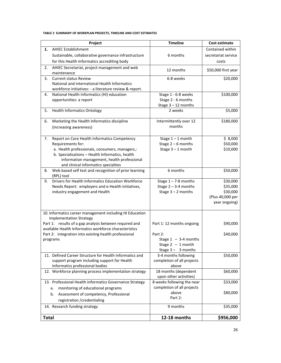# **TABLE 2 SUMMARY OF WORKPLAN PROJECTS, TIMELINE AND COST ESTIMATES**

| Project                                                                                                          | <b>Timeline</b>                                      | Cost estimate                     |
|------------------------------------------------------------------------------------------------------------------|------------------------------------------------------|-----------------------------------|
| <b>AHIEC Establishment</b><br>1.                                                                                 |                                                      | Contained within                  |
| Sustainable, collaborative governance infrastructure                                                             | 6 months                                             | secretariat service               |
| for this Health Informatics accrediting body                                                                     |                                                      | costs                             |
| 2.<br>AHIEC Secretariat, project management and web<br>maintenance                                               | 12 months                                            | \$50,000 first year               |
| 3.<br><b>Current status Review</b>                                                                               | 6-8 weeks                                            | \$20,000                          |
| National and international Health Informatics                                                                    |                                                      |                                   |
| workforce initiatives: - a literature review & report.                                                           |                                                      |                                   |
| National Health Informatics (HI) education<br>4.                                                                 | Stage 1 - 6-8 weeks                                  | \$100,000                         |
| opportunities: a report                                                                                          | Stage 2 - 6 months                                   |                                   |
| 5.<br><b>Health Informatics Ontology</b>                                                                         | Stage $3 - 12$ months<br>2 weeks                     | \$5,000                           |
|                                                                                                                  |                                                      |                                   |
| Marketing the Health Informatics discipline<br>6.                                                                | Intermittently over 12                               | \$180,000                         |
| (increasing awareness)                                                                                           | months                                               |                                   |
|                                                                                                                  |                                                      |                                   |
| Report on Core Health Informatics Competency<br>7.                                                               | Stage $1 - 1$ month                                  | \$8,000                           |
| Requirements for:                                                                                                | Stage $2-6$ months                                   | \$50,000                          |
| a. Health professionals, consumers, managers,:                                                                   | Stage $3 - 1$ month                                  | \$10,000                          |
| b. Specialisations - Health Informatics, health<br>information management, health professional                   |                                                      |                                   |
| and clinical informatics specialties                                                                             |                                                      |                                   |
| Web based self test and recognition of prior learning<br>8.                                                      | 6 months                                             | \$50,000                          |
| (RPL) tool                                                                                                       |                                                      |                                   |
| Drivers for Health Informatics Education Workforce<br>9.                                                         | Stage $1 - 7 - 8$ months                             | \$30,000                          |
| Needs Report: employers and e-Health initiatives,                                                                | Stage $2 - 3-4$ months                               | \$35,000                          |
| industry engagement and Health                                                                                   | Stage $3 - 2$ months                                 | \$30,000                          |
|                                                                                                                  |                                                      | (Plus 40,000 per<br>year ongoing) |
|                                                                                                                  |                                                      |                                   |
| 10. Informatics career management including HI Education                                                         |                                                      |                                   |
| implementation Strategy                                                                                          |                                                      |                                   |
| Part 1: results of a gap analysis between required and<br>available Health Informatics workforce characteristics | Part 1: 12 months ongoing                            | \$90,000                          |
| Part 2: integration into existing health professional                                                            | Part 2:                                              | \$40,000                          |
| programs                                                                                                         | Stage $1 - 3-4$ months                               |                                   |
|                                                                                                                  | Stage $2 - 1$ month                                  |                                   |
|                                                                                                                  | Stage $3 - 3$ months                                 |                                   |
| 11. Defined Career Structure for Health Informatics and                                                          | 3-4 months following                                 | \$50,000                          |
| support program including support for Health                                                                     | completion of all projects                           |                                   |
| Informatics professional bodies                                                                                  | above                                                |                                   |
| 12. Workforce planning process implementation strategy                                                           | 18 months (dependent                                 | \$60,000                          |
| 13. Professional Health Informatics Governance Strategy                                                          | upon other activities)<br>8 weeks following the near | \$33,000                          |
| monitoring of educational programs                                                                               | completion of all projects                           |                                   |
| a.                                                                                                               | above                                                | \$80,000                          |
| Assessment of competency, Professional<br>b.                                                                     | Part 2:                                              |                                   |
| registration /credentialing                                                                                      |                                                      |                                   |
| 14. Research funding strategy                                                                                    | 9 months                                             | \$35,000                          |
| <b>Total</b>                                                                                                     | 12-18 months                                         | \$956,000                         |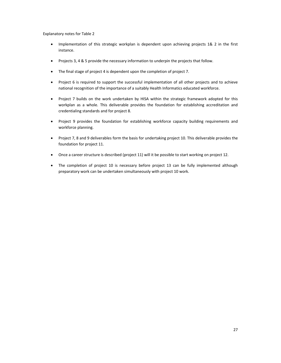Explanatory notes for Table 2

- Implementation of this strategic workplan is dependent upon achieving projects 1& 2 in the first instance.
- Projects 3, 4 & 5 provide the necessary information to underpin the projects that follow.
- The final stage of project 4 is dependent upon the completion of project 7.
- Project 6 is required to support the successful implementation of all other projects and to achieve national recognition of the importance of a suitably Health Informatics educated workforce.
- Project 7 builds on the work undertaken by HISA within the strategic framework adopted for this workplan as a whole. This deliverable provides the foundation for establishing accreditation and credentialing standards and for project 8.
- Project 9 provides the foundation for establishing workforce capacity building requirements and workforce planning.
- Project 7, 8 and 9 deliverables form the basis for undertaking project 10. This deliverable provides the foundation for project 11.
- Once a career structure is described (project 11) will it be possible to start working on project 12.
- The completion of project 10 is necessary before project 13 can be fully implemented although preparatory work can be undertaken simultaneously with project 10 work.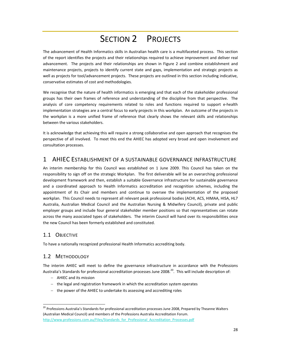# SECTION 2 PROJECTS

The advancement of Health Informatics skills in Australian health care is a multifaceted process. This section of the report identifies the projects and their relationships required to achieve improvement and deliver real advancement. The projects and their relationships are shown in Figure 2 and combine establishment and maintenance projects, projects to identify current state and gaps, implementation and strategic projects as well as projects for tool/advancement projects. These projects are outlined in this section including indicative, conservative estimates of cost and methodologies.

We recognise that the nature of health informatics is emerging and that each of the stakeholder professional groups has their own frames of reference and understanding of the discipline from that perspective. The analysis of core competency requirements related to roles and functions required to support e‐health implementation strategies are a central focus to early projects in this workplan. An outcome of the projects in the workplan is a more unified frame of reference that clearly shows the relevant skills and relationships between the various stakeholders.

It is acknowledge that achieving this will require a strong collaborative and open approach that recognises the perspective of all involved. To meet this end the AHIEC has adopted very broad and open involvement and consultation processes.

# 1 AHIEC ESTABLISHMENT OF A SUSTAINABLE GOVERNANCE INFRASTRUCTURE

An interim membership for this Council was established on 1 June 2009. This Council has taken on the responsibility to sign off on the strategic Workplan. The first deliverable will be an overarching professional development framework and then, establish a suitable Governance infrastructure for sustainable governance and a coordinated approach to Health Informatics accreditation and recognition schemes, including the appointment of its Chair and members and continue to oversee the implementation of the proposed workplan. This Council needs to represent all relevant peak professional bodies (ACHI, ACS, HIMAA, HISA, HL7 Australia, Australian Medical Council and the Australian Nursing & Midwifery Council), private and public employer groups and include four general stakeholder member positions so that representatives can rotate across the many associated types of stakeholders. The interim Council will hand over its responsibilities once the new Council has been formerly established and constituted.

# 1.1 OBJECTIVE

To have a nationally recognized professional Health Informatics accrediting body.

# 1.2 METHODOLOGY

The interim AHIEC will meet to define the governance infrastructure in accordance with the Professions Australia's Standards for professional accreditation processes June 2008.<sup>20</sup>. This will include description of:

− AHIEC and its mission

<u> Andrew Maria (1989)</u>

- − the legal and registration framework in which the accreditation system operates
- − the power of the AHIEC to undertake its assessing and accrediting roles

<sup>&</sup>lt;sup>20</sup> Professions Australia's Standards for professional accreditation processes June 2008, Prepared by Theanne Walters (Australian Medical Council) and members of the Professions Australia Accreditation Forum. http://www.professions.com.au/Files/Standards\_for\_Professional\_Accreditation\_Processes.pdf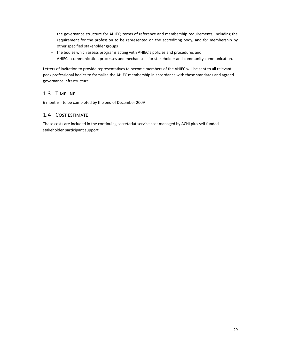- − the governance structure for AHIEC; terms of reference and membership requirements, including the requirement for the profession to be represented on the accrediting body, and for membership by other specified stakeholder groups
- − the bodies which assess programs acting with AHIEC's policies and procedures and
- − AHIEC's communication processes and mechanisms for stakeholder and community communication.

Letters of invitation to provide representatives to become members of the AHIEC will be sent to all relevant peak professional bodies to formalise the AHIEC membership in accordance with these standards and agreed governance infrastructure.

# 1.3 TIMELINE

6 months ‐ to be completed by the end of December 2009

# 1.4 COST ESTIMATE

These costs are included in the continuing secretariat service cost managed by ACHI plus self funded stakeholder participant support.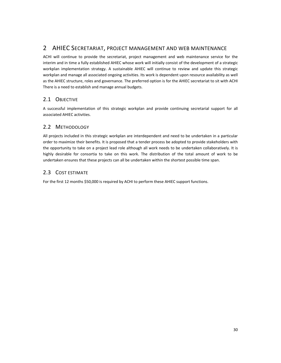# 2 AHIEC SECRETARIAT, PROJECT MANAGEMENT AND WEB MAINTENANCE

ACHI will continue to provide the secretariat, project management and web maintenance service for the interim and in time a fully established AHIEC whose work will initially consist of the development of a strategic workplan implementation strategy. A sustainable AHIEC will continue to review and update this strategic workplan and manage all associated ongoing activities. Its work is dependent upon resource availability as well as the AHIEC structure, roles and governance. The preferred option is for the AHIEC secretariat to sit with ACHI There is a need to establish and manage annual budgets.

# 2.1 OBJECTIVE

A successful implementation of this strategic workplan and provide continuing secretarial support for all associated AHIEC activities.

# 2.2 METHODOLOGY

All projects included in this strategic workplan are interdependent and need to be undertaken in a particular order to maximize their benefits. It is proposed that a tender process be adopted to provide stakeholders with the opportunity to take on a project lead role although all work needs to be undertaken collaboratively. It is highly desirable for consortia to take on this work. The distribution of the total amount of work to be undertaken ensures that these projects can all be undertaken within the shortest possible time span.

# 2.3 COST ESTIMATE

For the first 12 months \$50,000 is required by ACHI to perform these AHIEC support functions.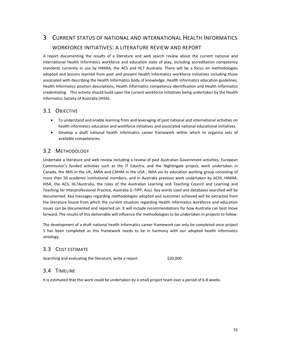# 3 CURRENT STATUS OF NATIONAL AND INTERNATIONAL HEALTH INFORMATICS WORKFORCE INITIATIVES: A LITERATURE REVIEW AND REPORT

A report documenting the results of a literature and web search review about the current national and international Health Informatics workforce and education state of play, including accreditation competency standards currently in use by HIMAA, the ACS and HL7 Australia. There will be a focus on methodologies adopted and lessons learned from past and present Health Informatics workforce initiatives including those associated with describing the Health Informatics body of knowledge, Health Informatics education guidelines, Health Informatics position descriptions, Health Informatics competency identification and Health Informatics credentialing. This activity should build upon the current workforce initiatives being undertaken by the Health Informatics Society of Australia (HISA).

# 3.1 OBJECTIVE

- To understand and enable learning from and leveraging of past national and international activities on health informatics education and workforce initiatives and associated national educational initiatives.
- Develop a draft national health informatics career framework within which to organise sets of available competencies.

# 3.2 METHODOLOGY

Undertake a literature and web review including a review of past Australian Government activities, European Commission's funded activities such as the IT Eductra, and the Nightingale project, work undertaken in Canada, the NHS in the UK, AMIA and CAHIM in the USA , IMIA via its education working group consisting of more than 50 academic institutional members, and in Australia previous work undertaken by ACHI, HIMAA, HISA, the ACS, HL7Australia, the roles of the Australian Learning and Teaching Council and Learning and Teaching for Interprofessional Practice, Australia (L‐TIPP, Aus). Key words used and databases searched will be documented. Key messages regarding methodologies adopted and outcomes achieved will be extracted from the literature found from which the current situation regarding Health Informatics workforce and education issues can be documented and reported on. It will include recommendations for how Australia can best move forward. The results of this deliverable will influence the methodologies to be undertaken in projects to follow.

The development of a draft national health informatics career framework can only be completed once project 5 has been completed as this framework needs to be in harmony with our adopted health informatics ontology.

# 3.3 COST ESTIMATE

Searching and evaluating the literature, write a report \$20,000

## 3.4 TIMELINE

It is estimated that this work could be undertaken by a small project team over a period of 6‐8 weeks.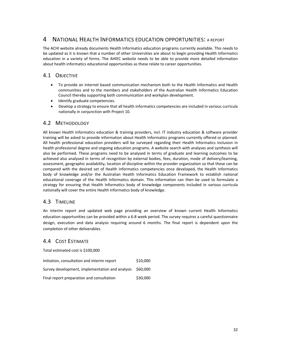# 4 NATIONAL HEALTH INFORMATICS EDUCATION OPPORTUNITIES: <sup>A</sup> REPORT

The ACHI website already documents Health Informatics education programs currently available. This needs to be updated as it is known that a number of other Universities are about to begin providing Health Informatics education in a variety of forms. The AHIEC website needs to be able to provide more detailed information about health informatics educational opportunities as these relate to career opportunities.

# 4.1 OBJECTIVE

- To provide an internet based communication mechanism both to the Health Informatics and Health communities and to the members and stakeholders of the Australian Health Informatics Education Council thereby supporting both communication and workplan development.
- Identify graduate competencies.
- Develop a strategy to ensure that all health informatics competencies are included in various curricula nationally in conjunction with Project 10.

# 4.2 METHODOLOGY

All known Health Informatics education & training providers, incl. IT industry education & software provider training will be asked to provide information about Health Informatics programs currently offered or planned. All health professional education providers will be surveyed regarding their Health Informatics inclusion in health professional degree and ongoing education programs. A website search with analyses and synthesis will also be performed. These programs need to be analysed in terms of graduate and learning outcomes to be achieved also analysed in terms of recognition by external bodies, fees, duration, mode of delivery/learning, assessment, geographic availability, location of discipline within the provider organization so that these can be compared with the desired set of Health Informatics competencies once developed, the Health Informatics body of knowledge and/or the Australian Health Informatics Education Framework to establish national educational coverage of the Health Informatics domain. This information can then be used to formulate a strategy for ensuring that Health Informatics body of knowledge components included in various curricula nationally will cover the entire Health Informatics body of knowledge.

# 4.3 TIMELINE

An interim report and updated web page providing an overview of known current Health Informatics education opportunities can be provided within a 6‐8 week period. The survey requires a careful questionnaire design, execution and data analysis requiring around 6 months. The final report is dependent upon the completion of other deliverables.

# 4.4 COST ESTIMATE

Total estimated cost is \$100,000

| Initiation, consultation and interim report     | \$10,000 |
|-------------------------------------------------|----------|
| Survey development, implementation and analysis | \$60,000 |
| Final report preparation and consultation       | \$30,000 |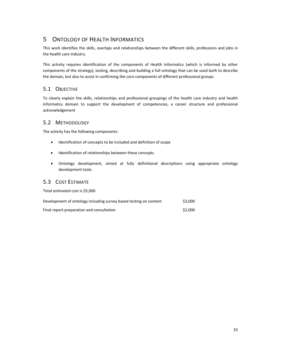# 5 ONTOLOGY OF HEALTH INFORMATICS

This work identifies the skills, overlaps and relationships between the different skills, professions and jobs in the health care industry.

This activity requires identification of the components of Health Informatics (which is informed by other components of the strategy), testing, describing and building a full ontology that can be used both to describe the domain, but also to assist in confirming the core components of different professional groups.

# 5.1 OBJECTIVE

To clearly explain the skills, relationships and professional groupings of the health care industry and health informatics domain to support the development of competencies, a career structure and professional acknowledgement

# 5.2 METHODOLOGY

The activity has the following components:

- Identification of concepts to be included and definition of scope
- Identification of relationships between these concepts
- Ontology development, aimed at fully definitional descriptions using appropriate ontology development tools.

# 5.3 COST ESTIMATE

Total estimated cost is \$5,000

| Development of ontology including survey based testing on content | \$3,000 |
|-------------------------------------------------------------------|---------|
| Final report preparation and consultation                         | \$2,000 |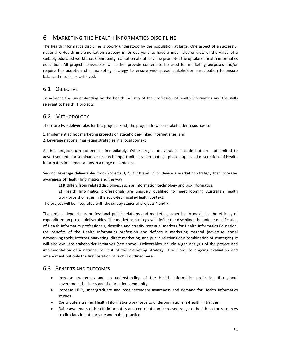# 6 MARKETING THE HEALTH INFORMATICS DISCIPLINE

The health informatics discipline is poorly understood by the population at large. One aspect of a successful national e-Health implementation strategy is for everyone to have a much clearer view of the value of a suitably educated workforce. Community realization about its value promotes the uptake of health informatics education. All project deliverables will either provide content to be used for marketing purposes and/or require the adoption of a marketing strategy to ensure widespread stakeholder participation to ensure balanced results are achieved.

# 6.1 OBJECTIVE

To advance the understanding by the health industry of the profession of health informatics and the skills relevant to health IT projects.

# 6.2 METHODOLOGY

There are two deliverables for this project. First, the project draws on stakeholder resources to:

- 1. Implement ad hoc marketing projects on stakeholder‐linked Internet sites, and
- 2. Leverage national marketing strategies in a local context

Ad hoc projects can commence immediately. Other project deliverables include but are not limited to advertisements for seminars or research opportunities, video footage, photographs and descriptions of Health Informatics implementations in a range of contexts).

Second, leverage deliverables from Projects 3, 4, 7, 10 and 11 to devise a marketing strategy that increases awareness of Health Informatics and the way

1) It differs from related disciplines, such as information technology and bio‐informatics.

2) Health Informatics professionals are uniquely qualified to meet looming Australian health workforce shortages in the socio‐technical e‐Health context.

The project will be integrated with the survey stages of projects 4 and 7.

The project depends on professional public relations and marketing expertise to maximise the efficacy of expenditure on project deliverables. The marketing strategy will define the discipline, the unique qualification of Health Informatics professionals, describe and stratify potential markets for Health Informatics Education, the benefits of the Health Informatics profession and defines a marketing method (advertise, social networking tools, Internet marketing, direct marketing, and public relations or a combination of strategies). It will also evaluate stakeholder initiatives (see above). Deliverables include a gap analysis of the project and implementation of a national roll out of the marketing strategy. It will require ongoing evaluation and amendment but only the first iteration of such is outlined here.

## 6.3 BENEFITS AND OUTCOMES

- Increase awareness and an understanding of the Health Informatics profession throughout government, business and the broader community.
- Increase HDR, undergraduate and post secondary awareness and demand for Health Informatics studies.
- Contribute a trained Health Informatics work force to underpin national e‐Health initiatives.
- Raise awareness of Health Informatics and contribute an increased range of health sector resources to clinicians in both private and public practice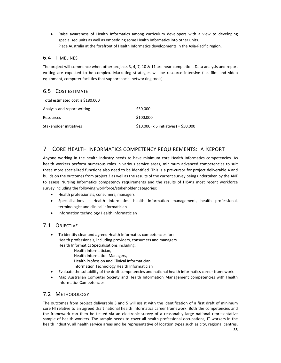• Raise awareness of Health Informatics among curriculum developers with a view to developing specialised units as well as embedding some Health Informatics into other units. Place Australia at the forefront of Health Informatics developments in the Asia‐Pacific region.

# 6.4 TIMELINES

The project will commence when other projects 3, 4, 7, 10 & 11 are near completion. Data analysis and report writing are expected to be complex. Marketing strategies will be resource intensive (i.e. film and video equipment, computer facilities that support social networking tools)

# 6.5 COST ESTIMATE

Total estimated cost is \$180,000

| Analysis and report writing | \$30,000                               |
|-----------------------------|----------------------------------------|
| Resources                   | \$100,000                              |
| Stakeholder initiatives     | $$10,000$ (x 5 initiatives) = \$50,000 |

# 7 CORE HEALTH INFORMATICS COMPETENCY REQUIREMENTS: A REPORT

Anyone working in the health industry needs to have minimum core Health Informatics competencies. As health workers perform numerous roles in various service areas, minimum advanced competencies to suit these more specialized functions also need to be identified. This is a pre-cursor for project deliverable 4 and builds on the outcomes from project 3 as well as the results of the current survey being undertaken by the ANF to assess Nursing Informatics competency requirements and the results of HISA's most recent workforce survey including the following workforce/stakeholder categories:

- Health professionals, consumers, managers
- Specialisations Health Informatics, health information management, health professional, terminologist and clinical informatician
- Information technology Health Informatician

# 7.1 OBJECTIVE

- To identify clear and agreed Health Informatics competencies for: Health professionals, including providers, consumers and managers Health Informatics Specialisations including: Health Informatician, Health Information Managers, Health Profession and Clinical Informatician Information Technology Health Informatician
- Evaluate the suitability of the draft competencies and national health informatics career framework.
- Map Australian Computer Society and Health Information Management competencies with Health Informatics Competencies.

# 7.2 METHODOLOGY

The outcomes from project deliverable 3 and 5 will assist with the identification of a first draft of minimum core HI relative to an agreed draft national health informatics career framework. Both the competencies and the framework can then be tested via an electronic survey of a reasonably large national representative sample of health workers. The sample needs to cover all health professional occupations, IT workers in the health industry, all health service areas and be representative of location types such as city, regional centres,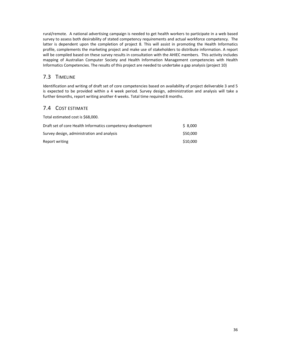rural/remote. A national advertising campaign is needed to get health workers to participate in a web based survey to assess both desirability of stated competency requirements and actual workforce competency. The latter is dependent upon the completion of project 8. This will assist in promoting the Health Informatics profile, complements the marketing project and make use of stakeholders to distribute information. A report will be compiled based on these survey results in consultation with the AHIEC members. This activity includes mapping of Australian Computer Society and Health Information Management competencies with Health Informatics Competencies. The results of this project are needed to undertake a gap analysis (project 10)

# 7.3 TIMELINE

Identification and writing of draft set of core competencies based on availability of project deliverable 3 and 5 is expected to be provided within a 4 week period. Survey design, administration and analysis will take a further 6months, report writing another 4 weeks. Total time required 8 months.

# 7.4 COST ESTIMATE

| Total estimated cost is \$68,000.                           |          |
|-------------------------------------------------------------|----------|
| Draft set of core Health Informatics competency development | \$8.000  |
| Survey design, administration and analysis                  | \$50,000 |
| Report writing                                              | \$10,000 |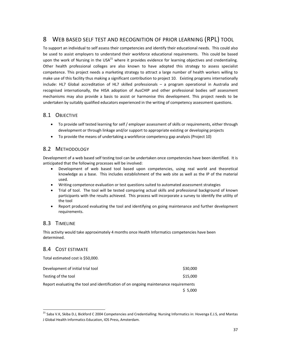# 8 WEB BASED SELF TEST AND RECOGNITION OF PRIOR LEARNING (RPL) TOOL

To support an individual to self assess their competencies and identify their educational needs. This could also be used to assist employers to understand their workforce educational requirements. This could be based upon the work of Nursing in the USA $^{21}$  where it provides evidence for learning objectives and credentialing. Other health professional colleges are also known to have adopted this strategy to assess specialist competence. This project needs a marketing strategy to attract a large number of health workers willing to make use of this facility thus making a significant contribution to project 10. Existing programs internationally include: HL7 Global accreditation of HL7 skilled professionals – a program operational in Australia and recognised internationally, the HISA adoption of AusCHIP and other professional bodies self assessment mechanisms may also provide a basis to assist or harmonise this development. This project needs to be undertaken by suitably qualified educators experienced in the writing of competency assessment questions.

# 8.1 OBJECTIVE

- To provide self tested learning for self / employer assessment of skills or requirements, either through development or through linkage and/or support to appropriate existing or developing projects
- To provide the means of undertaking a workforce competency gap analysis (Project 10)

# 8.2 METHODOLOGY

Development of a web based self testing tool can be undertaken once competencies have been identified. It is anticipated that the following processes will be involved:

- Development of web based tool based upon competencies, using real world and theoretical knowledge as a base. This includes establishment of the web site as well as the IP of the material used.
- Writing competence evaluation or test questions suited to automated assessment strategies
- Trial of tool. The tool will be tested comparing actual skills and professional background of known participants with the results achieved. This process will incorporate a survey to identify the utility of the tool
- Report produced evaluating the tool and identifying on going maintenance and further development requirements.

# 8.3 TIMELINE

This activity would take approximately 4 months once Health Informatics competencies have been determined.

# 8.4 COST ESTIMATE

Total estimated cost is \$50,000.

<u> Andrew Maria (1989)</u>

| Development of initial trial tool                                                    | \$30,000 |  |
|--------------------------------------------------------------------------------------|----------|--|
| Testing of the tool                                                                  | \$15,000 |  |
| Report evaluating the tool and identification of on ongoing maintenance requirements |          |  |
|                                                                                      | \$5,000  |  |

<sup>&</sup>lt;sup>21</sup> Saba V.K, Skiba D.J, Bickford C 2004 Competencies and Credentialling: Nursing Informatics in: Hovenga E.J.S, and Mantas J Global Health Informatics Education, IOS Press, Amsterdam.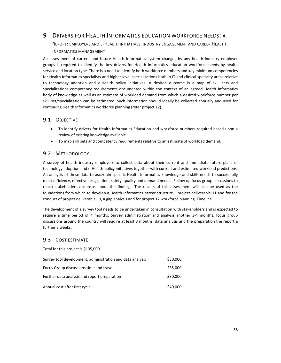# 9 DRIVERS FOR HEALTH INFORMATICS EDUCATION WORKFORCE NEEDS: A

REPORT: EMPLOYERS AND E‐HEALTH INITIATIVES, INDUSTRY ENGAGEMENT AND CAREER HEALTH INFORMATICS MANAGEMENT

An assessment of current and future Health Informatics system changes by any health industry employer groups is required to identify the key drivers for Health Informatics education workforce needs by health service and location type. There is a need to identify both workforce numbers and key minimum competencies for Health Informatics specialists and higher level specializations both in IT and clinical specialty areas relative to technology adoption and e‐Health policy initiatives. A desired outcome is a map of skill sets and specializations competency requirements documented within the context of an agreed Health Informatics body of knowledge as well as an estimate of workload demand from which a desired workforce number per skill set/specialization can be estimated. Such information should ideally be collected annually and used for continuing Health Informatics workforce planning (refer project 12).

# 9.1 OBJECTIVE

- To identify drivers for Health Informatics Education and workforce numbers required based upon a review of existing knowledge available.
- To map skill sets and competency requirements relative to an estimate of workload demand.

# 9.2 METHODOLOGY

A survey of health industry employers to collect data about their current and immediate future plans of technology adoption and e‐Health policy initiatives together with current and estimated workload predictions. An analysis of these data to ascertain specific Health Informatics knowledge and skills needs to successfully meet efficiency, effectiveness, patient safety, quality and demand needs. Follow up focus group discussions to reach stakeholder consensus about the findings. The results of this assessment will also be used as the foundations from which to develop a Health Informatics career structure – project deliverable 11 and for the conduct of project deliverable 10, a gap analysis and for project 12 workforce planning. Timeline

The development of a survey tool needs to be undertaken in consultation with stakeholders and is expected to require a time period of 4 months. Survey administration and analysis another 3-4 months, focus group discussions around the country will require at least 3 months, data analysis and the preparation the report a further 8 weeks.

# 9.3 COST ESTIMATE

Total for this project is \$135,000

| Survey tool development, administration and data analysis | \$30,000 |
|-----------------------------------------------------------|----------|
| Focus Group discussions time and travel                   | \$35,000 |
| Further data analysis and report preparation              | \$30,000 |
| Annual cost after first cycle                             | \$40,000 |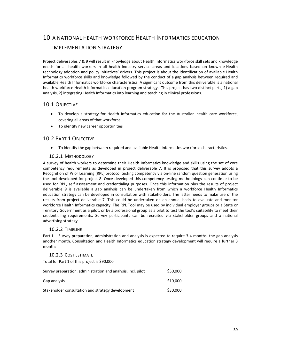# 10 A NATIONAL HEALTH WORKFORCE HEALTH INFORMATICS EDUCATION IMPLEMENTATION STRATEGY

Project deliverables 7 & 9 will result in knowledge about Health Informatics workforce skill sets and knowledge needs for all health workers in all health industry service areas and locations based on known e‐Health technology adoption and policy initiatives' drivers. This project is about the identification of available Health Informatics workforce skills and knowledge followed by the conduct of a gap analysis between required and available Health Informatics workforce characteristics. A significant outcome from this deliverable is a national health workforce Health Informatics education program strategy. This project has two distinct parts, 1) a gap analysis, 2) integrating Health Informatics into learning and teaching in clinical professions.

# 10.1 OBJECTIVE

- To develop a strategy for Health Informatics education for the Australian health care workforce, covering all areas of that workforce.
- To identify new career opportunities

# 10.2 PART 1 OBJECTIVE

• To identify the gap between required and available Health Informatics workforce characteristics.

### 10.2.1 METHODOLOGY

A survey of health workers to determine their Health Informatics knowledge and skills using the set of core competency requirements as developed in project deliverable 7. It is proposed that this survey adopts a Recognition of Prior Learning (RPL) protocol testing competency via on-line random question generation using the tool developed for project 8. Once developed this competency testing methodology can continue to be used for RPL, self assessment and credentialing purposes. Once this information plus the results of project deliverable 9 is available a gap analysis can be undertaken from which a workforce Health Informatics education strategy can be developed in consultation with stakeholders. The latter needs to make use of the results from project deliverable 7. This could be undertaken on an annual basis to evaluate and monitor workforce Health Informatics capacity. The RPL Tool may be used by individual employer groups or a State or Territory Government as a pilot, or by a professional group as a pilot to test the tool's suitability to meet their credentialing requirements. Survey participants can be recruited via stakeholder groups and a national advertising strategy.

### 10.2.2 TIMELINE

Part 1: Survey preparation, administration and analysis is expected to require 3‐4 months, the gap analysis another month. Consultation and Health Informatics education strategy development will require a further 3 months.

10.2.3 COST ESTIMATE Total for Part 1 of this project is \$90,000 Survey preparation, administration and analysis, incl. pilot  $$50,000$  $Gap$  analysis  $\qquad \qquad \qquad$   $\qquad \qquad$   $\qquad \qquad$   $\qquad \qquad$   $\qquad \qquad$   $\qquad \qquad$   $\qquad \qquad$   $\qquad \qquad$   $\qquad \qquad$   $\qquad \qquad$   $\qquad \qquad$   $\qquad \qquad$   $\qquad \qquad$   $\qquad$   $\qquad \qquad$   $\qquad$   $\qquad \qquad$   $\qquad$   $\qquad$   $\qquad$   $\qquad$   $\qquad$   $\qquad$   $\qquad$   $\qquad$   $\qquad$   $\q$ Stakeholder consultation and strategy development \$30,000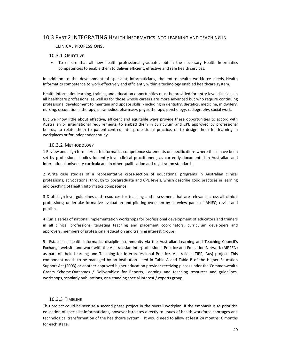## 10.3 PART 2 INTEGRATING HEALTH INFORMATICS INTO LEARNING AND TEACHING IN

### CLINICAL PROFESSIONS.

### 10.3.1 OBJECTIVE

• To ensure that all new health professional graduates obtain the necessary Health Informatics competencies to enable them to deliver efficient, effective and safe health services.

In addition to the development of specialist informaticians, the entire health workforce needs Health Informatics competence to work effectively and efficiently within a technology enabled healthcare system.

Health Informatics learning, training and education opportunities must be provided for entry-level clinicians in all healthcare professions, as well as for those whose careers are more advanced but who require continuing professional development to maintain and update skills ‐ including in dentistry, dietetics, medicine, midwifery, nursing, occupational therapy, paramedics, pharmacy, physiotherapy, psychology, radiography, social work.

But we know little about effective, efficient and equitable ways provide these opportunities to accord with Australian or international requirements, to embed them in curriculum and CPE approved by professional boards, to relate them to patient‐centred inter‐professional practice, or to design them for learning in workplaces or for independent study.

### 10.3.2 METHODOLOGY

1 Review and align formal Health Informatics competence statements or specifications where these have been set by professional bodies for entry-level clinical practitioners, as currently documented in Australian and international university curricula and in other qualification and registration standards.

2 Write case studies of a representative cross‐section of educational programs in Australian clinical professions, at vocational through to postgraduate and CPE levels, which describe good practices in learning and teaching of Health Informatics competence.

3 Draft high‐level guidelines and resources for teaching and assessment that are relevant across all clinical professions; undertake formative evaluation and piloting overseen by a review panel of AHIEC; revise and publish.

4 Run a series of national implementation workshops for professional development of educators and trainers in all clinical professions, targeting teaching and placement coordinators, curriculum developers and approvers, members of professional education and training interest groups.

5 Establish a health informatics discipline community via the Australian Learning and Teaching Council's Exchange website and work with the Australasian Interprofessional Practice and Education Network (AIPPEN) as part of their Learning and Teaching for Interprofessional Practice, Australia (L‐TIPP, Aus) project. This component needs to be managed by an Institution listed in Table A and Table B of the Higher Education Support Act (2003) or another approved higher education provider receiving places under the Commonwealth Grants Scheme.Outcomes / Deliverables: for Reports, Learning and teaching resources and guidelines, workshops, scholarly publications, or a standing special interest / experts group.

## 10.3.3 TIMELINE

This project could be seen as a second phase project in the overall workplan, if the emphasis is to prioritise education of specialist informaticians, however it relates directly to issues of health workforce shortages and technological transformation of the healthcare system. It would need to allow at least 24 months: 6 months for each stage.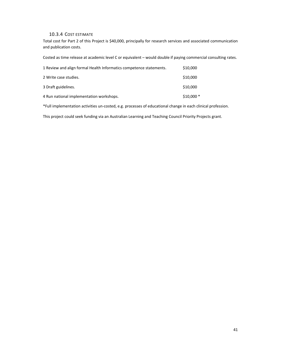# 10.3.4 COST ESTIMATE

Total cost for Part 2 of this Project is \$40,000, principally for research services and associated communication and publication costs.

Costed as time release at academic level C or equivalent – would double if paying commercial consulting rates.

| 1 Review and align formal Health Informatics competence statements. | \$10,000   |
|---------------------------------------------------------------------|------------|
| 2 Write case studies.                                               | \$10,000   |
| 3 Draft guidelines.                                                 | \$10,000   |
| 4 Run national implementation workshops.                            | $$10,000*$ |

\*Full implementation activities un‐costed, e.g. processes of educational change in each clinical profession.

This project could seek funding via an Australian Learning and Teaching Council Priority Projects grant.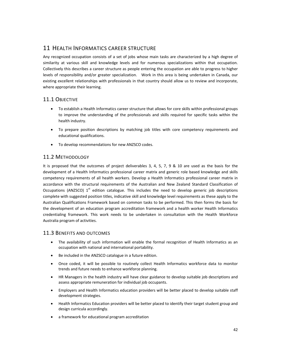# 11 HEALTH INFORMATICS CAREER STRUCTURE

Any recognized occupation consists of a set of jobs whose main tasks are characterized by a high degree of similarity at various skill and knowledge levels and for numerous specializations within that occupation. Collectively this describes a career structure as people entering the occupation are able to progress to higher levels of responsibility and/or greater specialization. Work in this area is being undertaken in Canada, our existing excellent relationships with professionals in that country should allow us to review and incorporate, where appropriate their learning.

# 11.1 OBJECTIVE

- To establish a Health Informatics career structure that allows for core skills within professional groups to improve the understanding of the professionals and skills required for specific tasks within the health industry.
- To prepare position descriptions by matching job titles with core competency requirements and educational qualifications.
- To develop recommendations for new ANZSCO codes.

# 11.2 METHODOLOGY

It is proposed that the outcomes of project deliverables 3, 4, 5, 7, 9 & 10 are used as the basis for the development of a Health Informatics professional career matrix and generic role based knowledge and skills competency requirements of all health workers. Develop a Health Informatics professional career matrix in accordance with the structural requirements of the Australian and New Zealand Standard Classification of Occupations (ANZSCO)  $1<sup>st</sup>$  edition catalogue. This includes the need to develop generic job descriptions complete with suggested position titles, indicative skill and knowledge level requirements as these apply to the Australian Qualifications Framework based on common tasks to be performed. This then forms the basis for the development of an education program accreditation framework and a health worker Health Informatics credentialing framework. This work needs to be undertaken in consultation with the Health Workforce Australia program of activities.

# 11.3 BENEFITS AND OUTCOMES

- The availability of such information will enable the formal recognition of Health Informatics as an occupation with national and international portability.
- Be included in the ANZSCO catalogue in a future edition.
- Once coded, it will be possible to routinely collect Health Informatics workforce data to monitor trends and future needs to enhance workforce planning.
- HR Managers in the health industry will have clear guidance to develop suitable job descriptions and assess appropriate remuneration for individual job occupants.
- Employers and Health Informatics education providers will be better placed to develop suitable staff development strategies.
- Health Informatics Education providers will be better placed to identify their target student group and design curricula accordingly.
- a framework for educational program accreditation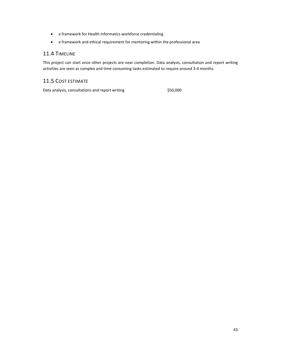- a framework for Health Informatics workforce credentialing
- a framework and ethical requirement for mentoring within the professional area

# 11.4 TIMELINE

This project can start once other projects are near completion. Data analysis, consultation and report writing activities are seen as complex and time consuming tasks estimated to require around 3‐4 months.

# 11.5 COST ESTIMATE

Data analysis, consultations and report writing  $$50,000$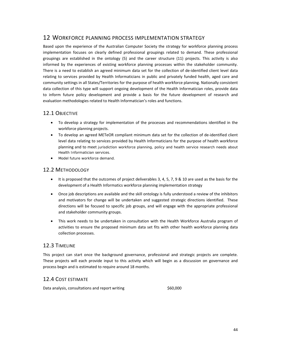# 12 WORKFORCE PLANNING PROCESS IMPLEMENTATION STRATEGY

Based upon the experience of the Australian Computer Society the strategy for workforce planning process implementation focuses on clearly defined professional groupings related to demand. These professional groupings are established in the ontology (5) and the career structure (11) projects. This activity is also informed by the experiences of existing workforce planning processes within the stakeholder community. There is a need to establish an agreed minimum data set for the collection of de‐identified client level data relating to services provided by Health Informaticians in public and privately funded health, aged care and community settings in all States/Territories for the purpose of health workforce planning. Nationally consistent data collection of this type will support ongoing development of the Health Informatician roles, provide data to inform future policy development and provide a basis for the future development of research and evaluation methodologies related to Health Informatician's roles and functions.

# 12.1 OBJECTIVE

- To develop a strategy for implementation of the processes and recommendations identified in the workforce planning projects.
- To develop an agreed METeOR compliant minimum data set for the collection of de‐identified client level data relating to services provided by Health Informaticians for the purpose of health workforce planning and to meet jurisdiction workforce planning, policy and health service research needs about Health Informatician services.
- Model future workforce demand.

# 12.2 METHODOLOGY

- It is proposed that the outcomes of project deliverables 3, 4, 5, 7, 9 & 10 are used as the basis for the development of a Health Informatics workforce planning implementation strategy
- Once job descriptions are available and the skill ontology is fully understood a review of the inhibitors and motivators for change will be undertaken and suggested strategic directions identified. These directions will be focused to specific job groups, and will engage with the appropriate professional and stakeholder community groups.
- This work needs to be undertaken in consultation with the Health Workforce Australia program of activities to ensure the proposed minimum data set fits with other health workforce planning data collection processes.

# 12.3 TIMELINE

This project can start once the background governance, professional and strategic projects are complete. These projects will each provide input to this activity which will begin as a discussion on governance and process begin and is estimated to require around 18 months.

# 12.4 COST ESTIMATE

Data analysis, consultations and report writing  $$60,000$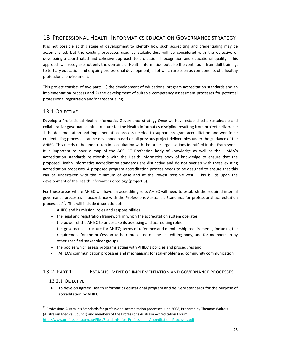# 13 PROFESSIONAL HEALTH INFORMATICS EDUCATION GOVERNANCE STRATEGY

It is not possible at this stage of development to identify how such accrediting and credentialing may be accomplished, but the existing processes used by stakeholders will be considered with the objective of developing a coordinated and cohesive approach to professional recognition and educational quality. This approach will recognise not only the domains of Health Informatics, but also the continuum from skill training, to tertiary education and ongoing professional development, all of which are seen as components of a healthy professional environment.

This project consists of two parts, 1) the development of educational program accreditation standards and an implementation process and 2) the development of suitable competency assessment processes for potential professional registration and/or credentialing.

# 13.1 OBJECTIVE

Develop a Professional Health Informatics Governance strategy Once we have established a sustainable and collaborative governance infrastructure for the Health Informatics discipline resulting from project deliverable 1 the documentation and implementation process needed to support program accreditation and workforce credentialing processes can be developed based on all previous project deliverables under the guidance of the AHIEC. This needs to be undertaken in consultation with the other organisations identified in the Framework. It is important to have a map of the ACS ICT Profession body of knowledge as well as the HIMAA's accreditation standards relationship with the Health Informatics body of knowledge to ensure that the proposed Health Informatics accreditation standards are distinctive and do not overlap with these existing accreditation processes. A proposed program accreditation process needs to be designed to ensure that this can be undertaken with the minimum of ease and at the lowest possible cost. This builds upon the development of the Health Informatics ontology (project 5).

For those areas where AHIEC will have an accrediting role, AHIEC will need to establish the required internal governance processes in accordance with the Professions Australia's Standards for professional accreditation processes .<sup>22</sup>. This will include description of:

- − AHIEC and its mission, roles and responsibilities
- − the legal and registration framework in which the accreditation system operates
- − the power of the AHIEC to undertake its assessing and accrediting roles
- − the governance structure for AHIEC; terms of reference and membership requirements, including the requirement for the profession to be represented on the accrediting body, and for membership by other specified stakeholder groups
- − the bodies which assess programs acting with AHIEC's policies and procedures and
- ‐ AHIEC's communication processes and mechanisms for stakeholder and community communication.

# 13.2 PART 1: ESTABLISHMENT OF IMPLEMENTATION AND GOVERNANCE PROCESSES.

## 13.2.1 OBJECTIVE

<u> Andrew Maria (1989)</u>

• To develop agreed Health Informatics educational program and delivery standards for the purpose of accreditation by AHIEC.

 $^{22}$  Professions Australia's Standards for professional accreditation processes June 2008, Prepared by Theanne Walters (Australian Medical Council) and members of the Professions Australia Accreditation Forum. http://www.professions.com.au/Files/Standards\_for\_Professional\_Accreditation\_Processes.pdf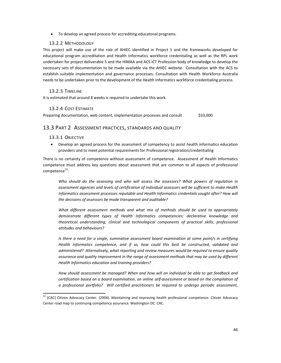• To develop an agreed process for accrediting educatonal programs.

### 13.2.2 METHODOLOGY

This project will make use of the role of AHIEC identified in Project 1 and the frameworks developed for educational program accreditation and Health Informatics workforce credentialing as well as the RPL work undertaken for project deliverable 5 and the HIMAA and ACS ICT Profession body of knowledge to develop the necessary sets of documentation to be made available via the AHIEC website. Consultation with the ACS to establish suitable implementation and governance processes. Consultation with Health Workforce Australia needs to be undertaken prior to the development of the Health Informatics workforce credentialing process.

### 13.2.3 TIMELINE

It is estimated that around 8 weeks is required to undertake this work.

### 13.2.4 COST ESTIMATE

Preparing documentation, web content, implementation processes and consult \$33,000

### 13.3 PART 2 ASSESSMENT PRACTICES, STANDARDS AND QUALITY

### 13.3.1 OBJECTIVE

<u> Andrew Maria (1989)</u>

• Develop an agreed process for the assessment of competency to assist health informatics education providers and to meet potential requirements for Professional registration/credentialing

There is no certainty of competence without assessment of competence. Assessment of Health Informatics competence must address key questions about assessment that are common to all aspects of professional  $competence<sup>23</sup>$ :

*Who should do the assessing and who will assess the assessors? What powers of regulation in assessment agencies and levels of certification of individual assessors will be sufficient to make Health Informatics assessment processes reputable and Health Informatics credentials sought after? How will the decisions of assessors be made transparent and auditable?* 

*What different assessment methods and what mix of methods should be used to appropriately demonstrate different types of Health Informatics competencies: declarative knowledge and theoretical understanding; clinical and technological components of practical skills; professional attitudes and behaviours?* 

*Is there a need for a single, summative assessment board examination at some point/s in certifying Health Informatics competence, and if so, how could this best be constructed, validated and administered? Alternatively, what reporting and review measures would be required to ensure quality assurance and quality improvement in the range of assessment methods that may be used by different Health Informatics education and training providers?* 

*How should assessment be managed? When and how will an individual be able to get feedback and certification based on a board examination, on online self‐assessment or based on the compilation of a professional portfolio? Will certified practitioners be required to undergo periodic assessment,*

<sup>&</sup>lt;sup>23</sup> [CAC] Citizen Advocacy Center. (2004). Maintaining and improving health professional competence: Citizen Advocacy Center road map to continuing competency assurance. Washington DC: CAC.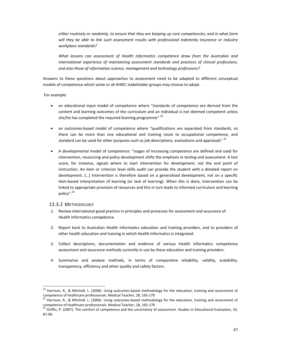*either routinely or randomly, to ensure that they are keeping up core competencies; and in what form will they be able to link such assessment results with professional indemnity insurance or industry workplace standards?* 

*What lessons can assessment of Health Informatics competence draw from the Australian and international experience of maintaining assessment standards and practices of clinical professions, and also those of information science, management and technology professions?* 

Answers to these questions about approaches to assessment need to be adapted to different conceptual models of competence which some or all AHIEC stakeholder groups may choose to adopt.

For example:

- an educational input model of competence where "standards of competence are derived from the content and learning outcomes of the curriculum and an individual is not deemed competent unless she/he has completed the required learning programme" <sup>24</sup>
- an outcomes-based model of competence where "qualifications are separated from standards, so there can be more than one educational and training route to occupational competence, and standard can be used for other purposes such as job descriptions, evaluations and appraisals" <sup>25</sup>
- A developmental model of competence: "stages of increasing competence are defined and used for intervention, resourcing and policy development shifts the emphasis in testing and assessment. A test score, for instance, signals where to start intervention for development, not the end point of instruction. An item or criterion level skills audit can provide the student with a detailed report on development. […] Intervention is therefore based on a generalised development, not on a specific item-based interpretation of learning (or lack of learning). When this is done, intervention can be linked to appropriate provision of resources and this in turn leads to informed curriculum and learning policy".<sup>26</sup>

### 13.3.2 METHODOLOGY

<u> Andrew Maria (1989)</u>

- 1. Review international good practice in principles and processes for assessment and assurance of Health Informatics competence.
- 2. Report back to Australian Health Informatics education and training providers, and to providers of other health education and training in which Health Informatics is integrated.
- 3. Collect descriptions, documentation and evidence of various Health Informatics competence assessment and assurance methods currently in use by these education and training providers.
- 4. Summarise and analyse methods, in terms of comparative reliability, validity, scalability, transparency, efficiency and other quality and safety factors.

<sup>&</sup>lt;sup>24</sup> Harrison, R., & Mitchell, L. (2006). Using outcomes-based methodology for the education, training and assessment of competence of healthcare professionals. Medical Teacher, 28, 165-170<br><sup>25</sup> Harrison, R., & Mitchell, L. (2006). Using outcomes-based methodology for the education, training and assessment of

competence of healthcare professionals. Medical Teacher, 28, 165-170  $^{26}$  Griffin, P. (2007). The comfort of competence and the uncertainty of assessment. Studies in Educational Evaluation, 33,

<sup>87</sup>‐99.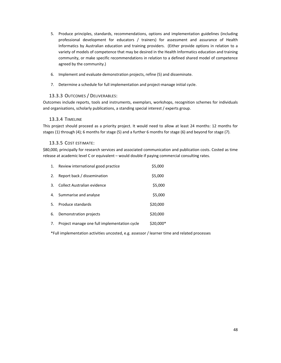- 5. Produce principles, standards, recommendations, options and implementation guidelines (including professional development for educators / trainers) for assessment and assurance of Health Informatics by Australian education and training providers. (Either provide options in relation to a variety of models of competence that may be desired in the Health Informatics education and training community, or make specific recommendations in relation to a defined shared model of competence agreed by the community.)
- 6. Implement and evaluate demonstration projects, refine (5) and disseminate.
- 7. Determine a schedule for full implementation and project-manage initial cycle.

# 13.3.3 OUTCOMES / DELIVERABLES:

Outcomes include reports, tools and instruments, exemplars, workshops, recognition schemes for individuals and organisations, scholarly publications, a standing special interest / experts group.

## 13.3.4 TIMELINE

This project should proceed as a priority project. It would need to allow at least 24 months: 12 months for stages (1) through (4); 6 months for stage (5) and a further 6 months for stage (6) and beyond for stage (7).

## 13.3.5 COST ESTIMATE:

\$80,000, principally for research services and associated communication and publication costs. Costed as time release at academic level C or equivalent – would double if paying commercial consulting rates.

| 1.  | Review international good practice           | \$5,000    |
|-----|----------------------------------------------|------------|
| 2.  | Report back / dissemination                  | \$5,000    |
| 3.  | Collect Australian evidence                  | \$5,000    |
| 4.  | Summarise and analyse                        | \$5,000    |
| .5. | Produce standards                            | \$20,000   |
| 6.  | Demonstration projects                       | \$20,000   |
| 7.  | Project manage one full implementation cycle | $$20,000*$ |

\*Full implementation activities uncosted, e.g. assessor / learner time and related processes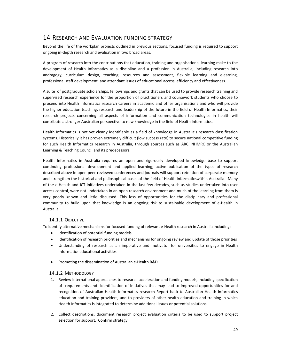# 14 RESEARCH AND EVALUATION FUNDING STRATEGY

Beyond the life of the workplan projects outlined in previous sections, focused funding is required to support ongoing in‐depth research and evaluation in two broad areas:

A program of research into the contributions that education, training and organisational learning make to the development of Health Informatics as a discipline and a profession in Australia, including research into andragogy, curriculum design, teaching, resources and assessment, flexible learning and elearning, professional staff development, and attendant issues of educational access, efficiency and effectiveness.

A suite of postgraduate scholarships, fellowships and grants that can be used to provide research training and supervised research experience for the proportion of practitioners and coursework students who choose to proceed into Health Informatics research careers in academic and other organisations and who will provide the higher education teaching, research and leadership of the future in the field of Health Informatics; their research projects concerning all aspects of information and communication technologies in health will contribute a stronger Australian perspective to new knowledge in the field of Health Informatics.

Health Informatics is not yet clearly identifiable as a field of knowledge in Australia's research classification systems. Historically it has proven extremely difficult (low success rate) to secure national competitive funding for such Health Informatics research in Australia, through sources such as ARC, NHMRC or the Australian Learning & Teaching Council and its predecessors.

Health Informatics in Australia requires an open and rigorously developed knowledge base to support continuing professional development and applied learning; active publication of the types of research described above in open peer‐reviewed conferences and journals will support retention of corporate memory and strengthen the historical and philosophical bases of the field of Health Informaticswithin Australia. Many of the e‐Health and ICT initiatives undertaken in the last few decades, such as studies undertaken into user access control, were not undertaken in an open research environment and much of the learning from them is very poorly known and little discussed. This loss of opportunities for the disciplinary and professional community to build upon that knowledge is an ongoing risk to sustainable development of e-Health in Australia.

## 14.1.1 OBJECTIVE

To identify alternative mechanisms for focused funding of relevant e‐Health research in Australia including:

- Identification of potential funding models
- Identification of research priorities and mechanisms for ongoing review and update of those priorities
- Understanding of research as an imperative and motivator for universities to engage in Health Informatics educational activities
- Promoting the dissemination of Australian e‐Health R&D

### 14.1.2 METHODOLOGY

- 1. Review international approaches to research acceleration and funding models, including specification of requirements and identification of initiatives that may lead to improved opportunities for and recognition of Australian Health Informatics research Report back to Australian Health Informatics education and training providers, and to providers of other health education and training in which Health Informatics is integrated to determine additional issues or potential solutions.
- 2. Collect descriptions, document research project evaluation criteria to be used to support project selection for support. Confirm strategy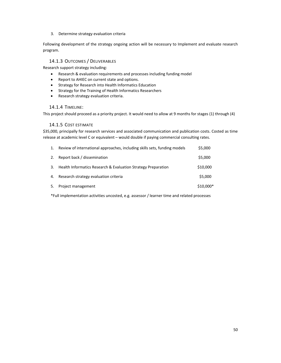### 3. Determine strategy evaluation criteria

Following development of the strategy ongoing action will be necessary to Implement and evaluate research program.

# 14.1.3 OUTCOMES / DELIVERABLES

Research support strategy including:

- Research & evaluation requirements and processes including funding model
- Report to AHIEC on current state and options.
- Strategy for Research into Health Informatics Education
- Strategy for the Training of Health Informatics Researchers
- Research strategy evaluation criteria.

### 14.1.4 TIMELINE:

This project should proceed as a priority project. It would need to allow at 9 months for stages (1) through (4)

### 14.1.5 COST ESTIMATE

\$35,000, principally for research services and associated communication and publication costs. Costed as time release at academic level C or equivalent – would double if paying commercial consulting rates.

| 1. | Review of international approaches, including skills sets, funding models | \$5,000    |
|----|---------------------------------------------------------------------------|------------|
| 2. | Report back / dissemination                                               | \$5,000    |
| 3. | Health Informatics Research & Evaluation Strategy Preparation             | \$10,000   |
| 4. | Research strategy evaluation criteria                                     | \$5,000    |
| 5. | Project management                                                        | $$10,000*$ |
|    |                                                                           |            |

\*Full implementation activities uncosted, e.g. assessor / learner time and related processes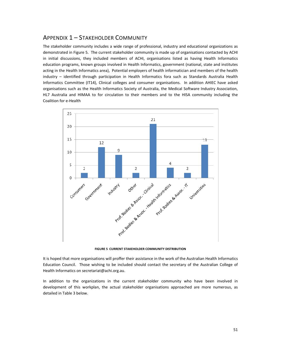# APPENDIX 1 – STAKEHOLDER COMMUNITY

The stakeholder community includes a wide range of professional, industry and educational organizations as demonstrated in Figure 5. The current stakeholder community is made up of organisations contacted by ACHI in initial discussions, they included members of ACHI, organisations listed as having Health Informatics education programs, known groups involved in Health Informatics, government (national, state and institutes acting in the Health Informatics area), Potential employers of health informatician and members of the health industry – identified through participation in Health Informatics fora such as Standards Australia Health Informatics Committee (IT14), Clinical colleges and consumer organisations. In addition AHIEC have asked organisations such as the Health Informatics Society of Australia, the Medical Software Industry Association, HL7 Australia and HIMAA to for circulation to their members and to the HISA community including the Coalition for e‐Health



**FIGURE 5 CURRENT STAKEHOLDER COMMUNITY DISTRIBUTION**

It is hoped that more organisations will proffer their assistance in the work of the Australian Health Informatics Education Council. Those wishing to be included should contact the secretary of the Australian College of Health Informatics on secretariat@achi.org.au.

In addition to the organizations in the current stakeholder community who have been involved in development of this workplan, the actual stakeholder organisations approached are more numerous, as detailed in Table 3 below.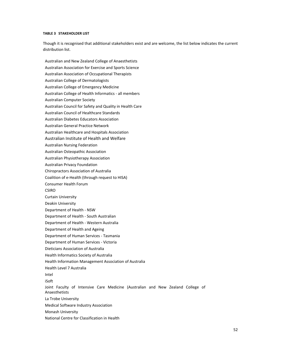#### **TABLE 3 STAKEHOLDER LIST**

Though it is recognised that additional stakeholders exist and are welcome, the list below indicates the current distribution list.

Australian and New Zealand College of Anaesthetists Australian Association for Exercise and Sports Science Australian Association of Occupational Therapists Australian College of Dermatologists Australian College of Emergency Medicine Australian College of Health Informatics ‐ all members Australian Computer Society Australian Council for Safety and Quality in Health Care Australian Council of Healthcare Standards Australian Diabetes Educators Association Australian General Practice Network Australian Healthcare and Hospitals Association Australian Institute of Health and Welfare Australian Nursing Federation Australian Osteopathic Association Australian Physiotherapy Association Australian Privacy Foundation Chiropractors Association of Australia Coalition of e‐Health (through request to HISA) Consumer Health Forum CSIRO Curtain University Deakin University Department of Health ‐ NSW Department of Health ‐ South Australian Department of Health ‐ Western Australia Department of Health and Ageing Department of Human Services ‐ Tasmania Department of Human Services ‐ Victoria Dieticians Association of Australia Health Informatics Society of Australia Health Information Management Association of Australia Health Level 7 Australia Intel iSoft Joint Faculty of Intensive Care Medicine (Australian and New Zealand College of Anaesthetists La Trobe University Medical Software Industry Association Monash University National Centre for Classification in Health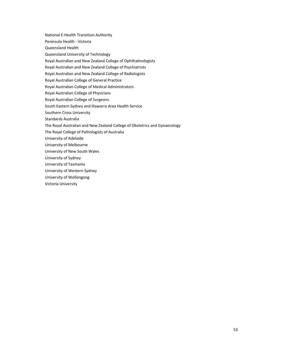National E‐Health Transition Authority

Peninsula Health ‐ Victoria

Queensland Health

Queensland University of Technology

Royal Australian and New Zealand College of Ophthalmologists

Royal Australian and New Zealand College of Psychiatrists

Royal Australian and New Zealand College of Radiologists

Royal Australian College of General Practice

Royal Australian College of Medical Administrators

Royal Australian College of Physicians

Royal Australian College of Surgeons

South Eastern Sydney and Illawarra Area Health Service

Southern Cross University

Standards Australia

The Royal Australian and New Zealand College of Obstetrics and Gynaecology

The Royal College of Pathologists of Australia

University of Adelaide

University of Melbourne

University of New South Wales

University of Sydney

University of Tasmania

University of Western Sydney

University of Wollongong

Victoria University